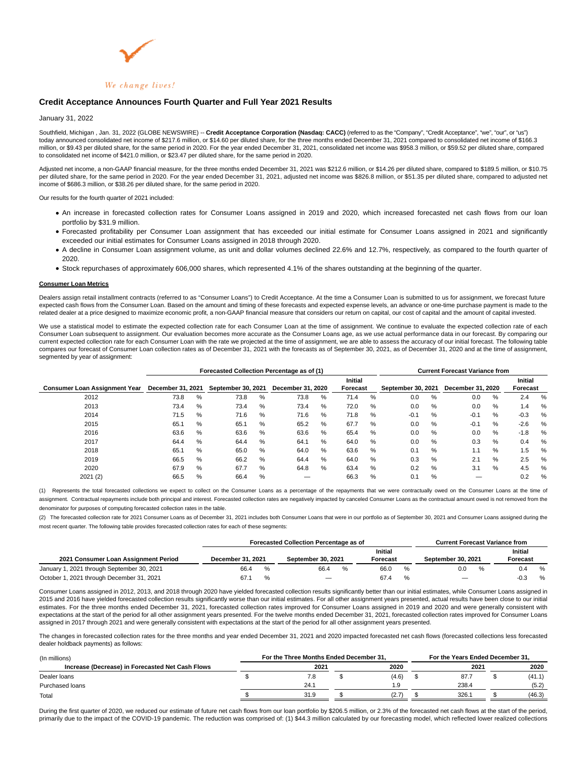

# **Credit Acceptance Announces Fourth Quarter and Full Year 2021 Results**

January 31, 2022

Southfield, Michigan , Jan. 31, 2022 (GLOBE NEWSWIRE) -- **Credit Acceptance Corporation (Nasdaq: CACC)** (referred to as the "Company", "Credit Acceptance", "we", "our", or "us") today announced consolidated net income of \$217.6 million, or \$14.60 per diluted share, for the three months ended December 31, 2021 compared to consolidated net income of \$166.3 million, or \$9.43 per diluted share, for the same period in 2020. For the year ended December 31, 2021, consolidated net income was \$958.3 million, or \$59.52 per diluted share, compared to consolidated net income of \$421.0 million, or \$23.47 per diluted share, for the same period in 2020.

Adjusted net income, a non-GAAP financial measure, for the three months ended December 31, 2021 was \$212.6 million, or \$14.26 per diluted share, compared to \$189.5 million, or \$10.75 per diluted share, for the same period in 2020. For the year ended December 31, 2021, adjusted net income was \$826.8 million, or \$51.35 per diluted share, compared to adjusted net income of \$686.3 million, or \$38.26 per diluted share, for the same period in 2020.

Our results for the fourth quarter of 2021 included:

- · An increase in forecasted collection rates for Consumer Loans assigned in 2019 and 2020, which increased forecasted net cash flows from our loan portfolio by \$31.9 million.
- Forecasted profitability per Consumer Loan assignment that has exceeded our initial estimate for Consumer Loans assigned in 2021 and significantly exceeded our initial estimates for Consumer Loans assigned in 2018 through 2020.
- A decline in Consumer Loan assignment volume, as unit and dollar volumes declined 22.6% and 12.7%, respectively, as compared to the fourth quarter of 2020.
- Stock repurchases of approximately 606,000 shares, which represented 4.1% of the shares outstanding at the beginning of the quarter.

#### **Consumer Loan Metrics**

Dealers assign retail installment contracts (referred to as "Consumer Loans") to Credit Acceptance. At the time a Consumer Loan is submitted to us for assignment, we forecast future expected cash flows from the Consumer Loan. Based on the amount and timing of these forecasts and expected expense levels, an advance or one-time purchase payment is made to the related dealer at a price designed to maximize economic profit, a non-GAAP financial measure that considers our return on capital, our cost of capital and the amount of capital invested.

We use a statistical model to estimate the expected collection rate for each Consumer Loan at the time of assignment. We continue to evaluate the expected collection rate of each Consumer Loan subsequent to assignment. Our evaluation becomes more accurate as the Consumer Loans age, as we use actual performance data in our forecast. By comparing our current expected collection rate for each Consumer Loan with the rate we projected at the time of assignment, we are able to assess the accuracy of our initial forecast. The following table compares our forecast of Consumer Loan collection rates as of December 31, 2021 with the forecasts as of September 30, 2021, as of December 31, 2020 and at the time of assignment, segmented by year of assignment:

|                                      |                   | Forecasted Collection Percentage as of (1) |                    |      | <b>Current Forecast Variance from</b> |   |                            |   |                    |      |                   |                     |      |
|--------------------------------------|-------------------|--------------------------------------------|--------------------|------|---------------------------------------|---|----------------------------|---|--------------------|------|-------------------|---------------------|------|
| <b>Consumer Loan Assignment Year</b> | December 31, 2021 |                                            | September 30, 2021 |      | December 31, 2020                     |   | <b>Initial</b><br>Forecast |   | September 30, 2021 |      | December 31, 2020 | Initial<br>Forecast |      |
| 2012                                 | 73.8              | %                                          | 73.8               | %    | 73.8                                  | % | 71.4                       | % | 0.0                | $\%$ | %<br>0.0          | 2.4                 | %    |
| 2013                                 | 73.4              | $\%$                                       | 73.4               | %    | 73.4                                  | % | 72.0                       | ℅ | 0.0                | $\%$ | 0.0<br>%          | 1.4                 | %    |
| 2014                                 | 71.5              | $\%$                                       | 71.6               | %    | 71.6                                  | % | 71.8                       | ℅ | $-0.1$             | $\%$ | %<br>$-0.1$       | $-0.3$              | %    |
| 2015                                 | 65.1              | $\%$                                       | 65.1               | %    | 65.2                                  | % | 67.7                       | ℅ | 0.0                | $\%$ | %<br>$-0.1$       | $-2.6$              | %    |
| 2016                                 | 63.6              | %                                          | 63.6               | %    | 63.6                                  | % | 65.4                       | ℅ | 0.0                | %    | %<br>0.0          | $-1.8$              | %    |
| 2017                                 | 64.4              | $\%$                                       | 64.4               | %    | 64.1                                  | % | 64.0                       | % | 0.0                | $\%$ | %<br>0.3          | 0.4                 | %    |
| 2018                                 | 65.1              | $\%$                                       | 65.0               | %    | 64.0                                  | % | 63.6                       | % | 0.1                | $\%$ | %<br>1.1          | 1.5                 | %    |
| 2019                                 | 66.5              | %                                          | 66.2               | $\%$ | 64.4                                  | % | 64.0                       | % | 0.3                | %    | 2.1<br>%          | 2.5                 | %    |
| 2020                                 | 67.9              | $\%$                                       | 67.7               | $\%$ | 64.8                                  | % | 63.4                       | % | 0.2                | %    | 3.1<br>%          | 4.5                 | %    |
| 2021(2)                              | 66.5              | %                                          | 66.4               | %    |                                       |   | 66.3                       | % | 0.1                | %    |                   | 0.2                 | $\%$ |

(1) Represents the total forecasted collections we expect to collect on the Consumer Loans as a percentage of the repayments that we were contractually owed on the Consumer Loans at the time of assignment. Contractual repayments include both principal and interest. Forecasted collection rates are negatively impacted by canceled Consumer Loans as the contractual amount owed is not removed from the denominator for purposes of computing forecasted collection rates in the table.

(2) The forecasted collection rate for 2021 Consumer Loans as of December 31, 2021 includes both Consumer Loans that were in our portfolio as of September 30, 2021 and Consumer Loans assigned during the most recent quarter. The following table provides forecasted collection rates for each of these segments:

|                                            |                   | <b>Forecasted Collection Percentage as of</b> | <b>Current Forecast Variance from</b> |                    |                 |  |  |
|--------------------------------------------|-------------------|-----------------------------------------------|---------------------------------------|--------------------|-----------------|--|--|
|                                            |                   |                                               | <b>Initial</b>                        |                    | <b>Initial</b>  |  |  |
| 2021 Consumer Loan Assignment Period       | December 31, 2021 | September 30, 2021                            | Forecast                              | September 30, 2021 | <b>Forecast</b> |  |  |
| January 1, 2021 through September 30, 2021 | 66.4<br>%         | 66.4                                          | 66.0<br>%                             | 0.0                | %<br>0.4        |  |  |
| October 1, 2021 through December 31, 2021  | %<br>67.          |                                               | $\%$<br>67.4                          |                    | %<br>-0.3       |  |  |

Consumer Loans assigned in 2012, 2013, and 2018 through 2020 have yielded forecasted collection results significantly better than our initial estimates, while Consumer Loans assigned in 2015 and 2016 have yielded forecasted collection results significantly worse than our initial estimates. For all other assignment years presented, actual results have been close to our initial estimates. For the three months ended December 31, 2021, forecasted collection rates improved for Consumer Loans assigned in 2019 and 2020 and were generally consistent with expectations at the start of the period for all other assignment years presented. For the twelve months ended December 31, 2021, forecasted collection rates improved for Consumer Loans assigned in 2017 through 2021 and were generally consistent with expectations at the start of the period for all other assignment years presented.

The changes in forecasted collection rates for the three months and year ended December 31, 2021 and 2020 impacted forecasted net cash flows (forecasted collections less forecasted dealer holdback payments) as follows:

| (In millions)                                    | For the Three Months Ended December 31. |  | For the Years Ended December 31. |  |       |  |        |
|--------------------------------------------------|-----------------------------------------|--|----------------------------------|--|-------|--|--------|
| Increase (Decrease) in Forecasted Net Cash Flows | 2021                                    |  | 2020                             |  | 2021  |  | 2020   |
| Dealer loans                                     | 7.8                                     |  | (4.6)                            |  | 87.7  |  | (41.1) |
| Purchased loans                                  | 24.1                                    |  | 1.9                              |  | 238.4 |  | (5.2)  |
| Total                                            | 31.9                                    |  | (2.7)                            |  | 326.1 |  | (46.3) |

During the first quarter of 2020, we reduced our estimate of future net cash flows from our loan portfolio by \$206.5 million, or 2.3% of the forecasted net cash flows at the start of the period, primarily due to the impact of the COVID-19 pandemic. The reduction was comprised of: (1) \$44.3 million calculated by our forecasting model, which reflected lower realized collections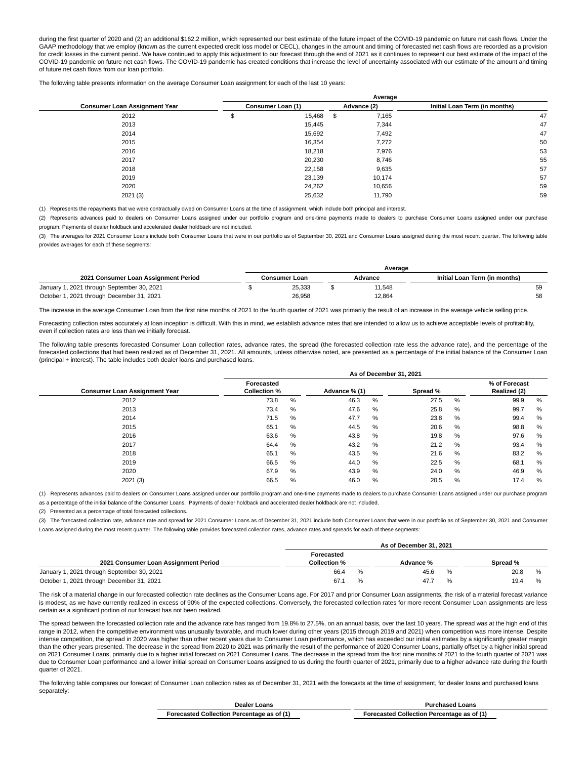during the first quarter of 2020 and (2) an additional \$162.2 million, which represented our best estimate of the future impact of the COVID-19 pandemic on future net cash flows. Under the GAAP methodology that we employ (known as the current expected credit loss model or CECL), changes in the amount and timing of forecasted net cash flows are recorded as a provision for credit losses in the current period. We have continued to apply this adjustment to our forecast through the end of 2021 as it continues to represent our best estimate of the impact of the COVID-19 pandemic on future net cash flows. The COVID-19 pandemic has created conditions that increase the level of uncertainty associated with our estimate of the amount and timing of future net cash flows from our loan portfolio.

The following table presents information on the average Consumer Loan assignment for each of the last 10 years:

|                                      | Average           |        |             |                               |  |    |  |  |  |  |  |
|--------------------------------------|-------------------|--------|-------------|-------------------------------|--|----|--|--|--|--|--|
| <b>Consumer Loan Assignment Year</b> | Consumer Loan (1) |        | Advance (2) | Initial Loan Term (in months) |  |    |  |  |  |  |  |
| 2012                                 |                   | 15,468 | \$          | 7,165                         |  | 47 |  |  |  |  |  |
| 2013                                 |                   | 15,445 |             | 7,344                         |  | 47 |  |  |  |  |  |
| 2014                                 |                   | 15,692 |             | 7,492                         |  | 47 |  |  |  |  |  |
| 2015                                 |                   | 16,354 |             | 7,272                         |  | 50 |  |  |  |  |  |
| 2016                                 |                   | 18,218 |             | 7,976                         |  | 53 |  |  |  |  |  |
| 2017                                 |                   | 20,230 |             | 8,746                         |  | 55 |  |  |  |  |  |
| 2018                                 |                   | 22,158 |             | 9,635                         |  | 57 |  |  |  |  |  |
| 2019                                 |                   | 23,139 |             | 10,174                        |  | 57 |  |  |  |  |  |
| 2020                                 |                   | 24,262 |             | 10,656                        |  | 59 |  |  |  |  |  |
| 2021(3)                              |                   | 25,632 |             | 11,790                        |  | 59 |  |  |  |  |  |
|                                      |                   |        |             |                               |  |    |  |  |  |  |  |

(1) Represents the repayments that we were contractually owed on Consumer Loans at the time of assignment, which include both principal and interest.

(2) Represents advances paid to dealers on Consumer Loans assigned under our portfolio program and one-time payments made to dealers to purchase Consumer Loans assigned under our purchase program. Payments of dealer holdback and accelerated dealer holdback are not included.

(3) The averages for 2021 Consumer Loans include both Consumer Loans that were in our portfolio as of September 30, 2021 and Consumer Loans assigned during the most recent quarter. The following table provides averages for each of these segments:

|                                            | Average       |  |         |                               |  |  |  |  |  |
|--------------------------------------------|---------------|--|---------|-------------------------------|--|--|--|--|--|
| 2021 Consumer Loan Assignment Period       | Consumer Loan |  | Advance | Initial Loan Term (in months) |  |  |  |  |  |
| January 1, 2021 through September 30, 2021 | 25.333        |  | 1,548   | 59                            |  |  |  |  |  |
| October 1, 2021 through December 31, 2021  | 26,958        |  | 12,864  | 58                            |  |  |  |  |  |

The increase in the average Consumer Loan from the first nine months of 2021 to the fourth quarter of 2021 was primarily the result of an increase in the average vehicle selling price.

Forecasting collection rates accurately at loan inception is difficult. With this in mind, we establish advance rates that are intended to allow us to achieve acceptable levels of profitability, even if collection rates are less than we initially forecast.

The following table presents forecasted Consumer Loan collection rates, advance rates, the spread (the forecasted collection rate less the advance rate), and the percentage of the forecasted collections that had been realized as of December 31, 2021. All amounts, unless otherwise noted, are presented as a percentage of the initial balance of the Consumer Loan (principal + interest). The table includes both dealer loans and purchased loans.

**As of December 31, 2021**

|                                      | AS OF DECEMBER 31, ZUZ I          |      |               |      |          |   |                               |   |  |  |  |  |
|--------------------------------------|-----------------------------------|------|---------------|------|----------|---|-------------------------------|---|--|--|--|--|
| <b>Consumer Loan Assignment Year</b> | Forecasted<br><b>Collection %</b> |      | Advance % (1) |      | Spread % |   | % of Forecast<br>Realized (2) |   |  |  |  |  |
| 2012                                 | 73.8                              | %    | 46.3          | %    | 27.5     | % | 99.9                          | % |  |  |  |  |
| 2013                                 | 73.4                              | %    | 47.6          | %    | 25.8     | % | 99.7                          | % |  |  |  |  |
| 2014                                 | 71.5                              | %    | 47.7          | $\%$ | 23.8     | % | 99.4                          | % |  |  |  |  |
| 2015                                 | 65.1                              | %    | 44.5          | %    | 20.6     | % | 98.8                          | % |  |  |  |  |
| 2016                                 | 63.6                              | %    | 43.8          | %    | 19.8     | % | 97.6                          | % |  |  |  |  |
| 2017                                 | 64.4                              | $\%$ | 43.2          | $\%$ | 21.2     | % | 93.4                          | % |  |  |  |  |
| 2018                                 | 65.1                              | %    | 43.5          | $\%$ | 21.6     | % | 83.2                          | % |  |  |  |  |
| 2019                                 | 66.5                              | %    | 44.0          | %    | 22.5     | % | 68.1                          | % |  |  |  |  |
| 2020                                 | 67.9                              | %    | 43.9          | %    | 24.0     | % | 46.9                          | % |  |  |  |  |
| 2021(3)                              | 66.5                              | %    | 46.0          | %    | 20.5     | % | 17.4                          | % |  |  |  |  |

(1) Represents advances paid to dealers on Consumer Loans assigned under our portfolio program and one-time payments made to dealers to purchase Consumer Loans assigned under our purchase program

as a percentage of the initial balance of the Consumer Loans. Payments of dealer holdback and accelerated dealer holdback are not included.

(2) Presented as a percentage of total forecasted collections.

(3) The forecasted collection rate, advance rate and spread for 2021 Consumer Loans as of December 31, 2021 include both Consumer Loans that were in our portfolio as of September 30, 2021 and Consumer Loans assigned during the most recent quarter. The following table provides forecasted collection rates, advance rates and spreads for each of these segments:

|                                            |              |   | As of December 31, 2021 |               |          |      |
|--------------------------------------------|--------------|---|-------------------------|---------------|----------|------|
|                                            | Forecasted   |   |                         |               |          |      |
| 2021 Consumer Loan Assignment Period       | Collection % |   | Advance %               |               | Spread % |      |
| January 1, 2021 through September 30, 2021 | 66.4         | % | 45.6                    | %             | 20.8     |      |
| October 1, 2021 through December 31, 2021  | 67.1         | % |                         | $\frac{0}{6}$ | 19.4     | $\%$ |

The risk of a material change in our forecasted collection rate declines as the Consumer Loans age. For 2017 and prior Consumer Loan assignments, the risk of a material forecast variance is modest, as we have currently realized in excess of 90% of the expected collections. Conversely, the forecasted collection rates for more recent Consumer Loan assignments are less certain as a significant portion of our forecast has not been realized.

The spread between the forecasted collection rate and the advance rate has ranged from 19.8% to 27.5%, on an annual basis, over the last 10 years. The spread was at the high end of this range in 2012, when the competitive environment was unusually favorable, and much lower during other years (2015 through 2019 and 2021) when competition was more intense. Despite intense competition, the spread in 2020 was higher than other recent years due to Consumer Loan performance, which has exceeded our initial estimates by a significantly greater margin than the other years presented. The decrease in the spread from 2020 to 2021 was primarily the result of the performance of 2020 Consumer Loans, partially offset by a higher initial spread on 2021 Consumer Loans, primarily due to a higher initial forecast on 2021 Consumer Loans. The decrease in the spread from the first nine months of 2021 to the fourth quarter of 2021 was due to Consumer Loan performance and a lower initial spread on Consumer Loans assigned to us during the fourth quarter of 2021, primarily due to a higher advance rate during the fourth quarter of 2021.

The following table compares our forecast of Consumer Loan collection rates as of December 31, 2021 with the forecasts at the time of assignment, for dealer loans and purchased loans separately:

| Dealer Loans                               | <b>Purchased Loans</b>                     |
|--------------------------------------------|--------------------------------------------|
| Forecasted Collection Percentage as of (1) | Forecasted Collection Percentage as of (1) |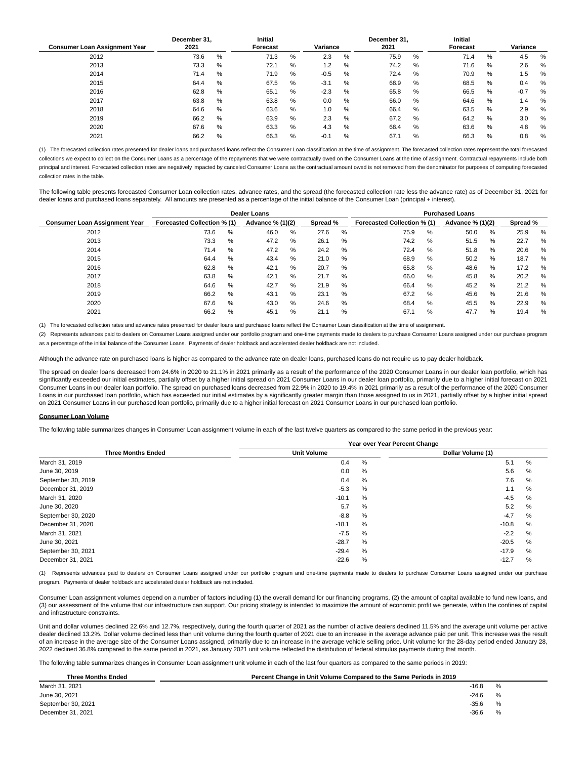| <b>Consumer Loan Assignment Year</b> | December 31.<br>2021 |   | Initial<br>Forecast |   | Variance |      | December 31.<br>2021 |      | Initial<br>Forecast |   | Variance |   |
|--------------------------------------|----------------------|---|---------------------|---|----------|------|----------------------|------|---------------------|---|----------|---|
| 2012                                 | 73.6                 | % | 71.3                | % | 2.3      | %    | 75.9                 | %    | 71.4                | % | 4.5      | % |
| 2013                                 | 73.3                 | % | 72.1                | % | 1.2      | %    | 74.2                 | $\%$ | 71.6                | % | 2.6      | % |
| 2014                                 | 71.4                 | % | 71.9                | % | $-0.5$   | $\%$ | 72.4                 | %    | 70.9                | % | 1.5      | % |
| 2015                                 | 64.4                 | % | 67.5                | % | $-3.1$   | $\%$ | 68.9                 | %    | 68.5                | % | 0.4      | % |
| 2016                                 | 62.8                 | % | 65.1                | % | $-2.3$   | $\%$ | 65.8                 | %    | 66.5                | % | $-0.7$   | % |
| 2017                                 | 63.8                 | % | 63.8                | % | 0.0      | %    | 66.0                 | %    | 64.6                | % | 1.4      | % |
| 2018                                 | 64.6                 | % | 63.6                | % | 1.0      | $\%$ | 66.4                 | %    | 63.5                | % | 2.9      | % |
| 2019                                 | 66.2                 | % | 63.9                | % | 2.3      | %    | 67.2                 | %    | 64.2                | % | 3.0      | % |
| 2020                                 | 67.6                 | % | 63.3                | % | 4.3      | $\%$ | 68.4                 | %    | 63.6                | % | 4.8      | % |
| 2021                                 | 66.2                 | % | 66.3                | % | $-0.1$   | %    | 67.1                 | %    | 66.3                | % | 0.8      | % |

(1) The forecasted collection rates presented for dealer loans and purchased loans reflect the Consumer Loan classification at the time of assignment. The forecasted collection rates represent the total forecasted collections we expect to collect on the Consumer Loans as a percentage of the repayments that we were contractually owed on the Consumer Loans at the time of assignment. Contractual repayments include both principal and interest. Forecasted collection rates are negatively impacted by canceled Consumer Loans as the contractual amount owed is not removed from the denominator for purposes of computing forecasted collection rates in the table.

The following table presents forecasted Consumer Loan collection rates, advance rates, and the spread (the forecasted collection rate less the advance rate) as of December 31, 2021 for dealer loans and purchased loans separately. All amounts are presented as a percentage of the initial balance of the Consumer Loan (principal + interest).

|                                      |                                    |      | Dealer Loans |                              |      | <b>Purchased Loans</b>      |      |                  |          |      |      |      |
|--------------------------------------|------------------------------------|------|--------------|------------------------------|------|-----------------------------|------|------------------|----------|------|------|------|
| <b>Consumer Loan Assignment Year</b> | <b>Forecasted Collection % (1)</b> |      |              | Advance % (1)(2)<br>Spread % |      | Forecasted Collection % (1) |      | Advance % (1)(2) | Spread % |      |      |      |
| 2012                                 | 73.6                               | %    | 46.0         | %                            | 27.6 | %                           | 75.9 | %                | 50.0     | %    | 25.9 | %    |
| 2013                                 | 73.3                               | %    | 47.2         | $\%$                         | 26.1 | $\%$                        | 74.2 | %                | 51.5     | %    | 22.7 | %    |
| 2014                                 | 71.4                               | %    | 47.2         | %                            | 24.2 | %                           | 72.4 | %                | 51.8     | %    | 20.6 | %    |
| 2015                                 | 64.4                               | %    | 43.4         | %                            | 21.0 | %                           | 68.9 | %                | 50.2     | $\%$ | 18.7 | %    |
| 2016                                 | 62.8                               | %    | 42.1         | $\%$                         | 20.7 | %                           | 65.8 | %                | 48.6     | %    | 17.2 | %    |
| 2017                                 | 63.8                               | %    | 42.1         | %                            | 21.7 | $\%$                        | 66.0 | %                | 45.8     | %    | 20.2 | %    |
| 2018                                 | 64.6                               | %    | 42.7         | $\%$                         | 21.9 | %                           | 66.4 | %                | 45.2     | %    | 21.2 | %    |
| 2019                                 | 66.2                               | $\%$ | 43.1         | %                            | 23.1 | %                           | 67.2 | %                | 45.6     | %    | 21.6 | %    |
| 2020                                 | 67.6                               | %    | 43.0         | %                            | 24.6 | %                           | 68.4 | %                | 45.5     | $\%$ | 22.9 | $\%$ |
| 2021                                 | 66.2                               | %    | 45.1         | %                            | 21.1 | %                           | 67.1 | %                | 47.7     | %    | 19.4 | %    |

(1) The forecasted collection rates and advance rates presented for dealer loans and purchased loans reflect the Consumer Loan classification at the time of assignment.

(2) Represents advances paid to dealers on Consumer Loans assigned under our portfolio program and one-time payments made to dealers to purchase Consumer Loans assigned under our purchase program as a percentage of the initial balance of the Consumer Loans. Payments of dealer holdback and accelerated dealer holdback are not included.

Although the advance rate on purchased loans is higher as compared to the advance rate on dealer loans, purchased loans do not require us to pay dealer holdback.

The spread on dealer loans decreased from 24.6% in 2020 to 21.1% in 2021 primarily as a result of the performance of the 2020 Consumer Loans in our dealer loan portfolio, which has significantly exceeded our initial estimates, partially offset by a higher initial spread on 2021 Consumer Loans in our dealer loan portfolio, primarily due to a higher initial forecast on 2021 Consumer Loans in our dealer loan portfolio. The spread on purchased loans decreased from 22.9% in 2020 to 19.4% in 2021 primarily as a result of the performance of the 2020 Consumer Loans in our purchased loan portfolio, which has exceeded our initial estimates by a significantly greater margin than those assigned to us in 2021, partially offset by a higher initial spread on 2021 Consumer Loans in our purchased loan portfolio, primarily due to a higher initial forecast on 2021 Consumer Loans in our purchased loan portfolio.

#### **Consumer Loan Volume**

The following table summarizes changes in Consumer Loan assignment volume in each of the last twelve quarters as compared to the same period in the previous year:

|                           | Year over Year Percent Change |                   |         |   |  |  |  |  |  |
|---------------------------|-------------------------------|-------------------|---------|---|--|--|--|--|--|
| <b>Three Months Ended</b> | <b>Unit Volume</b>            | Dollar Volume (1) |         |   |  |  |  |  |  |
| March 31, 2019            | 0.4                           | %                 | 5.1     | % |  |  |  |  |  |
| June 30, 2019             | 0.0                           | %                 | 5.6     | % |  |  |  |  |  |
| September 30, 2019        | 0.4                           | %                 | 7.6     | % |  |  |  |  |  |
| December 31, 2019         | $-5.3$                        | %                 | 1.1     | % |  |  |  |  |  |
| March 31, 2020            | $-10.1$                       | %                 | $-4.5$  | % |  |  |  |  |  |
| June 30, 2020             | 5.7                           | %                 | 5.2     | % |  |  |  |  |  |
| September 30, 2020        | $-8.8$                        | %                 | $-4.7$  | % |  |  |  |  |  |
| December 31, 2020         | $-18.1$                       | %                 | $-10.8$ | % |  |  |  |  |  |
| March 31, 2021            | $-7.5$                        | %                 | $-2.2$  | % |  |  |  |  |  |
| June 30, 2021             | $-28.7$                       | %                 | $-20.5$ | % |  |  |  |  |  |
| September 30, 2021        | $-29.4$                       | %                 | $-17.9$ | % |  |  |  |  |  |
| December 31, 2021         | $-22.6$                       | %                 | $-12.7$ | % |  |  |  |  |  |

(1) Represents advances paid to dealers on Consumer Loans assigned under our portfolio program and one-time payments made to dealers to purchase Consumer Loans assigned under our purchase program. Payments of dealer holdback and accelerated dealer holdback are not included.

Consumer Loan assignment volumes depend on a number of factors including (1) the overall demand for our financing programs, (2) the amount of capital available to fund new loans, and (3) our assessment of the volume that our infrastructure can support. Our pricing strategy is intended to maximize the amount of economic profit we generate, within the confines of capital and infrastructure constraints.

Unit and dollar volumes declined 22.6% and 12.7%, respectively, during the fourth quarter of 2021 as the number of active dealers declined 11.5% and the average unit volume per active dealer declined 13.2%. Dollar volume declined less than unit volume during the fourth quarter of 2021 due to an increase in the average advance paid per unit. This increase was the result of an increase in the average size of the Consumer Loans assigned, primarily due to an increase in the average vehicle selling price. Unit volume for the 28-day period ended January 28, 2022 declined 36.8% compared to the same period in 2021, as January 2021 unit volume reflected the distribution of federal stimulus payments during that month.

The following table summarizes changes in Consumer Loan assignment unit volume in each of the last four quarters as compared to the same periods in 2019:

| <b>Three Months Ended</b> | Percent Change in Unit Volume Compared to the Same Periods in 2019 |         |   |
|---------------------------|--------------------------------------------------------------------|---------|---|
| March 31, 2021            |                                                                    | $-16.8$ | % |
| June 30, 2021             |                                                                    | $-24.6$ | % |
| September 30, 2021        |                                                                    | $-35.6$ | % |
| December 31, 2021         |                                                                    | $-36.6$ | % |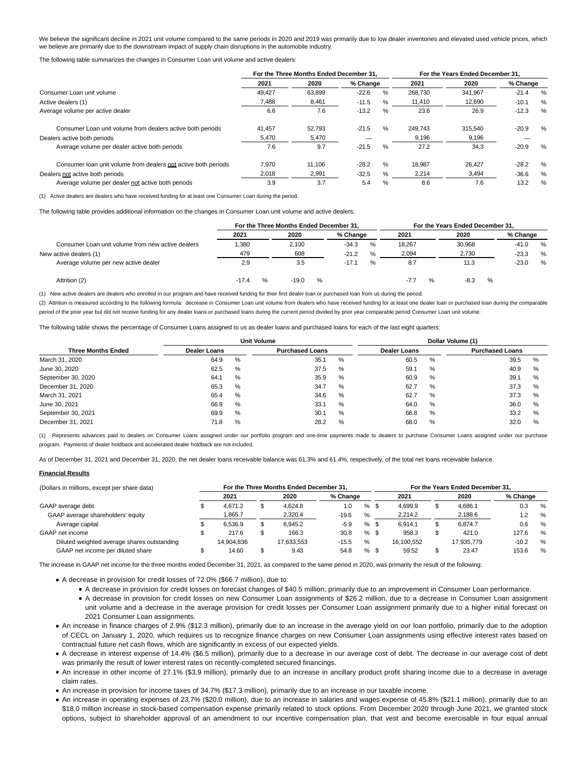We believe the significant decline in 2021 unit volume compared to the same periods in 2020 and 2019 was primarily due to low dealer inventories and elevated used vehicle prices, which we believe are primarily due to the downstream impact of supply chain disruptions in the automobile industry.

The following table summarizes the changes in Consumer Loan unit volume and active dealers:

|                                                                |        | For the Three Months Ended December 31. |          |      |         | For the Years Ended December 31. |          |   |
|----------------------------------------------------------------|--------|-----------------------------------------|----------|------|---------|----------------------------------|----------|---|
|                                                                | 2021   | 2020                                    | % Change |      | 2021    | 2020                             | % Change |   |
| Consumer Loan unit volume                                      | 49.427 | 63.899                                  | $-22.6$  | %    | 268.730 | 341.967                          | $-21.4$  | % |
| Active dealers (1)                                             | 7.488  | 8,461                                   | $-11.5$  | %    | 11.410  | 12,690                           | $-10.1$  | % |
| Average volume per active dealer                               | 6.6    | 7.6                                     | $-13.2$  | %    | 23.6    | 26.9                             | $-12.3$  | % |
| Consumer Loan unit volume from dealers active both periods     | 41.457 | 52.793                                  | $-21.5$  | %    | 249.743 | 315.540                          | $-20.9$  | % |
| Dealers active both periods                                    | 5,470  | 5,470                                   |          |      | 9,196   | 9,196                            |          |   |
| Average volume per dealer active both periods                  | 7.6    | 9.7                                     | $-21.5$  | %    | 27.2    | 34.3                             | $-20.9$  | % |
| Consumer loan unit volume from dealers not active both periods | 7.970  | 11.106                                  | $-28.2$  | %    | 18.987  | 26.427                           | $-28.2$  | % |
| Dealers not active both periods                                | 2,018  | 2,991                                   | $-32.5$  | ℅    | 2,214   | 3,494                            | $-36.6$  | % |
| Average volume per dealer not active both periods              | 3.9    | 3.7                                     | 5.4      | $\%$ | 8.6     | 7.6                              | 13.2     | % |

(1) Active dealers are dealers who have received funding for at least one Consumer Loan during the period.

The following table provides additional information on the changes in Consumer Loan unit volume and active dealers:

|                                                   |         |   | For the Three Months Ended December 31. |   |          |               |        |   | For the Years Ended December 31. |   |          |      |
|---------------------------------------------------|---------|---|-----------------------------------------|---|----------|---------------|--------|---|----------------------------------|---|----------|------|
|                                                   | 2021    |   | 2020                                    |   | % Change |               | 2021   |   | 2020                             |   | % Change |      |
| Consumer Loan unit volume from new active dealers | 1.380   |   | 2.100                                   |   | $-34.3$  | %             | 18.267 |   | 30.968                           |   | $-41.0$  | %    |
| New active dealers (1)                            | 479     |   | 608                                     |   | $-21.2$  | $\frac{1}{2}$ | 2.094  |   | 2.730                            |   | $-23.3$  | $\%$ |
| Average volume per new active dealer              | 2.9     |   | 3.5                                     |   | $-17.1$  | %             |        |   | 11.3                             |   | $-23.0$  | %    |
| Attrition (2)                                     | $-17.4$ | % | $-19.0$                                 | % |          |               |        | % | -8.3                             | % |          |      |

(1) New active dealers are dealers who enrolled in our program and have received funding for their first dealer loan or purchased loan from us during the period.

(2) Attrition is measured according to the following formula: decrease in Consumer Loan unit volume from dealers who have received funding for at least one dealer loan or purchased loan during the comparable period of the prior year but did not receive funding for any dealer loans or purchased loans during the current period divided by prior year comparable period Consumer Loan unit volume.

The following table shows the percentage of Consumer Loans assigned to us as dealer loans and purchased loans for each of the last eight quarters:

|                           |              |      | <b>Unit Volume</b>     |   |              |      | Dollar Volume (1)      |  |
|---------------------------|--------------|------|------------------------|---|--------------|------|------------------------|--|
| <b>Three Months Ended</b> | Dealer Loans |      | <b>Purchased Loans</b> |   | Dealer Loans |      | <b>Purchased Loans</b> |  |
| March 31, 2020            | 64.9         | %    | 35.1                   | % | 60.5         | %    | 39.5<br>%              |  |
| June 30, 2020             | 62.5         | $\%$ | 37.5                   | % | 59.1         | %    | 40.9<br>%              |  |
| September 30, 2020        | 64.1         | %    | 35.9                   | % | 60.9         | %    | 39.1<br>%              |  |
| December 31, 2020         | 65.3         | $\%$ | 34.7                   | % | 62.7         | %    | 37.3<br>%              |  |
| March 31, 2021            | 65.4         | $\%$ | 34.6                   | % | 62.7         | %    | 37.3<br>$\%$           |  |
| June 30, 2021             | 66.9         | %    | 33.1                   | % | 64.0         | %    | 36.0<br>$\%$           |  |
| September 30, 2021        | 69.9         | $\%$ | 30.1                   | % | 66.8         | %    | 33.2<br>%              |  |
| December 31, 2021         | 71.8         | %    | 28.2                   | % | 68.0         | $\%$ | 32.0<br>%              |  |

(1) Represents advances paid to dealers on Consumer Loans assigned under our portfolio program and one-time payments made to dealers to purchase Consumer Loans assigned under our purchase program. Payments of dealer holdback and accelerated dealer holdback are not included.

As of December 31, 2021 and December 31, 2020, the net dealer loans receivable balance was 61.3% and 61.4%, respectively, of the total net loans receivable balance.

# **Financial Results**

| (Dollars in millions, except per share data) |            | For the Three Months Ended December 31. |          |    |            | For the Years Ended December 31. |          |      |
|----------------------------------------------|------------|-----------------------------------------|----------|----|------------|----------------------------------|----------|------|
|                                              | 2021       | 2020                                    | % Change |    | 2021       | 2020                             | % Change |      |
| GAAP average debt                            | 4.671.2    | 4.624.8                                 | 1.0      | %S | 4.699.9    | 4.686.1                          | 0.3      | %    |
| GAAP average shareholders' equity            | .865.7     | 2,320.4                                 | $-19.6$  | %  | 2.214.2    | 2,188.6                          | 1.2      | $\%$ |
| Average capital                              | 6.536.9    | 6.945.2                                 | -5.9     | %S | 6.914.1    | 6.874.7                          | 0.6      | %    |
| GAAP net income                              | 217.6      | 166.3                                   | 30.8     | %S | 958.3      | 421.0                            | 127.6    | $\%$ |
| Diluted weighted average shares outstanding  | 14.904.836 | 17.633.553                              | $-15.5$  | %  | 16.100.552 | 17.935.779                       | $-10.2$  | $\%$ |
| GAAP net income per diluted share            | 14.60      | 9.43                                    | 54.8     | %S | 59.52      | 23.47                            | 153.6    | %    |

The increase in GAAP net income for the three months ended December 31, 2021, as compared to the same period in 2020, was primarily the result of the following:

A decrease in provision for credit losses of 72.0% (\$66.7 million), due to:

A decrease in provision for credit losses on forecast changes of \$40.5 million, primarily due to an improvement in Consumer Loan performance.

- A decrease in provision for credit losses on new Consumer Loan assignments of \$26.2 million, due to a decrease in Consumer Loan assignment unit volume and a decrease in the average provision for credit losses per Consumer Loan assignment primarily due to a higher initial forecast on 2021 Consumer Loan assignments.
- An increase in finance charges of 2.9% (\$12.3 million), primarily due to an increase in the average yield on our loan portfolio, primarily due to the adoption of CECL on January 1, 2020, which requires us to recognize finance charges on new Consumer Loan assignments using effective interest rates based on contractual future net cash flows, which are significantly in excess of our expected yields.
- A decrease in interest expense of 14.4% (\$6.5 million), primarily due to a decrease in our average cost of debt. The decrease in our average cost of debt was primarily the result of lower interest rates on recently-completed secured financings.
- An increase in other income of 27.1% (\$3.9 million), primarily due to an increase in ancillary product profit sharing income due to a decrease in average claim rates.
- An increase in provision for income taxes of 34.7% (\$17.3 million), primarily due to an increase in our taxable income.
- An increase in operating expenses of 23.7% (\$20.0 million), due to an increase in salaries and wages expense of 45.8% (\$21.1 million), primarily due to an \$18.0 million increase in stock-based compensation expense primarily related to stock options. From December 2020 through June 2021, we granted stock options, subject to shareholder approval of an amendment to our incentive compensation plan, that vest and become exercisable in four equal annual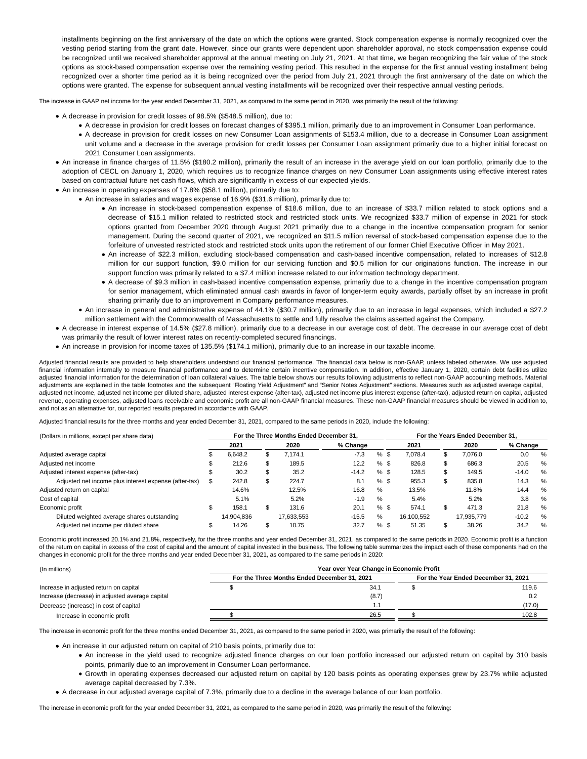installments beginning on the first anniversary of the date on which the options were granted. Stock compensation expense is normally recognized over the vesting period starting from the grant date. However, since our grants were dependent upon shareholder approval, no stock compensation expense could be recognized until we received shareholder approval at the annual meeting on July 21, 2021. At that time, we began recognizing the fair value of the stock options as stock-based compensation expense over the remaining vesting period. This resulted in the expense for the first annual vesting installment being recognized over a shorter time period as it is being recognized over the period from July 21, 2021 through the first anniversary of the date on which the options were granted. The expense for subsequent annual vesting installments will be recognized over their respective annual vesting periods.

The increase in GAAP net income for the year ended December 31, 2021, as compared to the same period in 2020, was primarily the result of the following:

- A decrease in provision for credit losses of 98.5% (\$548.5 million), due to:
	- A decrease in provision for credit losses on forecast changes of \$395.1 million, primarily due to an improvement in Consumer Loan performance.
	- A decrease in provision for credit losses on new Consumer Loan assignments of \$153.4 million, due to a decrease in Consumer Loan assignment unit volume and a decrease in the average provision for credit losses per Consumer Loan assignment primarily due to a higher initial forecast on 2021 Consumer Loan assignments.
- An increase in finance charges of 11.5% (\$180.2 million), primarily the result of an increase in the average yield on our loan portfolio, primarily due to the adoption of CECL on January 1, 2020, which requires us to recognize finance charges on new Consumer Loan assignments using effective interest rates based on contractual future net cash flows, which are significantly in excess of our expected yields.
- An increase in operating expenses of 17.8% (\$58.1 million), primarily due to:
	- An increase in salaries and wages expense of 16.9% (\$31.6 million), primarily due to:
		- An increase in stock-based compensation expense of \$18.6 million, due to an increase of \$33.7 million related to stock options and a decrease of \$15.1 million related to restricted stock and restricted stock units. We recognized \$33.7 million of expense in 2021 for stock options granted from December 2020 through August 2021 primarily due to a change in the incentive compensation program for senior management. During the second quarter of 2021, we recognized an \$11.5 million reversal of stock-based compensation expense due to the forfeiture of unvested restricted stock and restricted stock units upon the retirement of our former Chief Executive Officer in May 2021.
		- An increase of \$22.3 million, excluding stock-based compensation and cash-based incentive compensation, related to increases of \$12.8 million for our support function, \$9.0 million for our servicing function and \$0.5 million for our originations function. The increase in our support function was primarily related to a \$7.4 million increase related to our information technology department.
		- A decrease of \$9.3 million in cash-based incentive compensation expense, primarily due to a change in the incentive compensation program for senior management, which eliminated annual cash awards in favor of longer-term equity awards, partially offset by an increase in profit sharing primarily due to an improvement in Company performance measures.
		- An increase in general and administrative expense of 44.1% (\$30.7 million), primarily due to an increase in legal expenses, which included a \$27.2 million settlement with the Commonwealth of Massachusetts to settle and fully resolve the claims asserted against the Company.
- A decrease in interest expense of 14.5% (\$27.8 million), primarily due to a decrease in our average cost of debt. The decrease in our average cost of debt was primarily the result of lower interest rates on recently-completed secured financings.
- An increase in provision for income taxes of 135.5% (\$174.1 million), primarily due to an increase in our taxable income.

Adjusted financial results are provided to help shareholders understand our financial performance. The financial data below is non-GAAP, unless labeled otherwise. We use adjusted financial information internally to measure financial performance and to determine certain incentive compensation. In addition, effective January 1, 2020, certain debt facilities utilize adjusted financial information for the determination of loan collateral values. The table below shows our results following adjustments to reflect non-GAAP accounting methods. Material adjustments are explained in the table footnotes and the subsequent "Floating Yield Adjustment" and "Senior Notes Adjustment" sections. Measures such as adjusted average capital, adjusted net income, adjusted net income per diluted share, adjusted interest expense (after-tax), adjusted ret income plus interest expense (after-tax), adjusted return on capital, adjusted revenue, operating expenses, adjusted loans receivable and economic profit are all non-GAAP financial measures. These non-GAAP financial measures should be viewed in addition to, and not as an alternative for, our reported results prepared in accordance with GAAP.

Adjusted financial results for the three months and year ended December 31, 2021, compared to the same periods in 2020, include the following:

| (Dollars in millions, except per share data)          |    |            |    | For the Three Months Ended December 31, |          |      |      |            |    | For the Years Ended December 31. |          |      |
|-------------------------------------------------------|----|------------|----|-----------------------------------------|----------|------|------|------------|----|----------------------------------|----------|------|
|                                                       |    | 2021       |    | 2020                                    | % Change |      |      | 2021       |    | 2020                             | % Change |      |
| Adjusted average capital                              |    | 6.648.2    | æ. | 7.174.1                                 | $-7.3$   | %    | - \$ | 7.078.4    |    | 7.076.0                          | 0.0      | $\%$ |
| Adiusted net income                                   |    | 212.6      |    | 189.5                                   | 12.2     | %\$  |      | 826.8      | \$ | 686.3                            | 20.5     | %    |
| Adjusted interest expense (after-tax)                 |    | 30.2       | \$ | 35.2                                    | $-14.2$  | % \$ |      | 128.5      | J. | 149.5                            | $-14.0$  | %    |
| Adjusted net income plus interest expense (after-tax) | £. | 242.8      | \$ | 224.7                                   | 8.1      | %    | - \$ | 955.3      | \$ | 835.8                            | 14.3     | %    |
| Adjusted return on capital                            |    | 14.6%      |    | 12.5%                                   | 16.8     | %    |      | 13.5%      |    | 11.8%                            | 14.4     | %    |
| Cost of capital                                       |    | 5.1%       |    | 5.2%                                    | $-1.9$   | %    |      | 5.4%       |    | 5.2%                             | 3.8      | %    |
| Economic profit                                       |    | 158.1      |    | 131.6                                   | 20.1     | %    | \$   | 574.1      | \$ | 471.3                            | 21.8     | %    |
| Diluted weighted average shares outstanding           |    | 14.904.836 |    | 17.633.553                              | $-15.5$  | %    |      | 16.100.552 |    | 17,935,779                       | $-10.2$  | %    |
| Adjusted net income per diluted share                 |    | 14.26      |    | 10.75                                   | 32.7     | %    | \$   | 51.35      |    | 38.26                            | 34.2     | $\%$ |

Economic profit increased 20.1% and 21.8%, respectively, for the three months and year ended December 31, 2021, as compared to the same periods in 2020. Economic profit is a function of the return on capital in excess of the cost of capital and the amount of capital invested in the business. The following table summarizes the impact each of these components had on the changes in economic profit for the three months and year ended December 31, 2021, as compared to the same periods in 2020:

| (In millions)                                   | Year over Year Change in Economic Profit     |                                      |
|-------------------------------------------------|----------------------------------------------|--------------------------------------|
|                                                 | For the Three Months Ended December 31, 2021 | For the Year Ended December 31, 2021 |
| Increase in adjusted return on capital          | 34.1                                         | 119.6                                |
| Increase (decrease) in adjusted average capital | (8.7)                                        | 0.2                                  |
| Decrease (increase) in cost of capital          |                                              | (17.0)                               |
| Increase in economic profit                     | 26.5                                         | 102.8                                |

The increase in economic profit for the three months ended December 31, 2021, as compared to the same period in 2020, was primarily the result of the following:

An increase in our adjusted return on capital of 210 basis points, primarily due to:

- An increase in the yield used to recognize adjusted finance charges on our loan portfolio increased our adjusted return on capital by 310 basis points, primarily due to an improvement in Consumer Loan performance.
- Growth in operating expenses decreased our adjusted return on capital by 120 basis points as operating expenses grew by 23.7% while adjusted average capital decreased by 7.3%.
- A decrease in our adjusted average capital of 7.3%, primarily due to a decline in the average balance of our loan portfolio.

The increase in economic profit for the year ended December 31, 2021, as compared to the same period in 2020, was primarily the result of the following: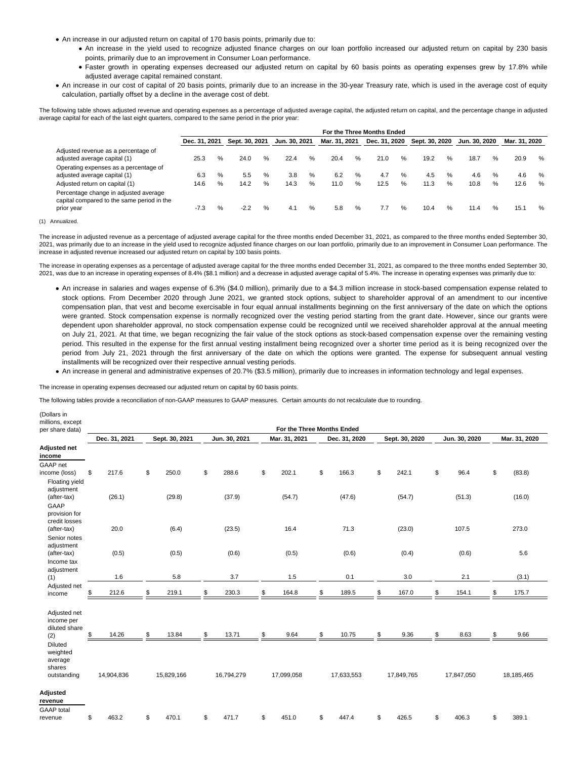- An increase in our adjusted return on capital of 170 basis points, primarily due to:
	- An increase in the yield used to recognize adjusted finance charges on our loan portfolio increased our adjusted return on capital by 230 basis points, primarily due to an improvement in Consumer Loan performance.
	- Faster growth in operating expenses decreased our adjusted return on capital by 60 basis points as operating expenses grew by 17.8% while adjusted average capital remained constant.
- An increase in our cost of capital of 20 basis points, primarily due to an increase in the 30-year Treasury rate, which is used in the average cost of equity calculation, partially offset by a decline in the average cost of debt.

The following table shows adjusted revenue and operating expenses as a percentage of adjusted average capital, the adjusted return on capital, and the percentage change in adjusted average capital for each of the last eight quarters, compared to the same period in the prior year:

|                                                                         |               |   |                |      |               |   |               |      | For the Three Months Ended |   |                |   |               |   |               |      |
|-------------------------------------------------------------------------|---------------|---|----------------|------|---------------|---|---------------|------|----------------------------|---|----------------|---|---------------|---|---------------|------|
|                                                                         | Dec. 31, 2021 |   | Sept. 30, 2021 |      | Jun. 30. 2021 |   | Mar. 31. 2021 |      | Dec. 31, 2020              |   | Sept. 30, 2020 |   | Jun. 30, 2020 |   | Mar. 31, 2020 |      |
| Adjusted revenue as a percentage of<br>adjusted average capital (1)     | 25.3          | % | 24.0           | ℅    | 22.4          | % | 20.4          | %    | 21.0                       | % | 19.2           | ℅ | 18.7          | % | 20.9          | %    |
| Operating expenses as a percentage of<br>adjusted average capital (1)   | 6.3           | % | 5.5            | %    | 3.8           | % | 6.2           | %    | 4.7                        | % | 4.5            | ℅ | 4.6           | % | 4.6           | $\%$ |
| Adjusted return on capital (1)<br>Percentage change in adjusted average | 14.6          | % | 14.2           | $\%$ | 14.3          | % | 11.0          | $\%$ | 12.5                       | % | 11.3           | % | 10.8          | % | 12.6          | $\%$ |
| capital compared to the same period in the<br>prior year                | $-7.3$        | % | $-2.2$         | %    | 4.1           | % | 5.8           | $\%$ | 7.7                        | % | 10.4           | % | 11.4          | % | 15.1          | $\%$ |

<sup>(1)</sup> Annualized.

The increase in adjusted revenue as a percentage of adjusted average capital for the three months ended December 31, 2021, as compared to the three months ended September 30, 2021, was primarily due to an increase in the yield used to recognize adjusted finance charges on our loan portfolio, primarily due to an improvement in Consumer Loan performance. The increase in adjusted revenue increased our adjusted return on capital by 100 basis points.

The increase in operating expenses as a percentage of adjusted average capital for the three months ended December 31, 2021, as compared to the three months ended September 30, 2021, was due to an increase in operating expenses of 8.4% (\$8.1 million) and a decrease in adjusted average capital of 5.4%. The increase in operating expenses was primarily due to:

- An increase in salaries and wages expense of 6.3% (\$4.0 million), primarily due to a \$4.3 million increase in stock-based compensation expense related to stock options. From December 2020 through June 2021, we granted stock options, subject to shareholder approval of an amendment to our incentive compensation plan, that vest and become exercisable in four equal annual installments beginning on the first anniversary of the date on which the options were granted. Stock compensation expense is normally recognized over the vesting period starting from the grant date. However, since our grants were dependent upon shareholder approval, no stock compensation expense could be recognized until we received shareholder approval at the annual meeting on July 21, 2021. At that time, we began recognizing the fair value of the stock options as stock-based compensation expense over the remaining vesting period. This resulted in the expense for the first annual vesting installment being recognized over a shorter time period as it is being recognized over the period from July 21, 2021 through the first anniversary of the date on which the options were granted. The expense for subsequent annual vesting installments will be recognized over their respective annual vesting periods.
- An increase in general and administrative expenses of 20.7% (\$3.5 million), primarily due to increases in information technology and legal expenses.

The increase in operating expenses decreased our adjusted return on capital by 60 basis points.

The following tables provide a reconciliation of non-GAAP measures to GAAP measures. Certain amounts do not recalculate due to rounding.

| (Dollars in<br>millions, except                                            |    |                     |                           |                           | For the Three Months Ended |                           |                          |                          |                          |
|----------------------------------------------------------------------------|----|---------------------|---------------------------|---------------------------|----------------------------|---------------------------|--------------------------|--------------------------|--------------------------|
| per share data)                                                            |    | Dec. 31, 2021       | Sept. 30, 2021            | Jun. 30, 2021             | Mar. 31, 2021              | Dec. 31, 2020             | Sept. 30, 2020           | Jun. 30, 2020            | Mar. 31, 2020            |
| Adjusted net<br>income                                                     |    |                     |                           |                           |                            |                           |                          |                          |                          |
| GAAP net<br>income (loss)<br>Floating yield                                | \$ | 217.6               | \$<br>250.0               | \$<br>288.6               | \$<br>202.1                | \$<br>166.3               | \$<br>242.1              | \$<br>96.4               | \$<br>(83.8)             |
| adjustment<br>(after-tax)<br><b>GAAP</b><br>provision for<br>credit losses |    | (26.1)              | (29.8)                    | (37.9)                    | (54.7)                     | (47.6)                    | (54.7)                   | (51.3)                   | (16.0)                   |
| (after-tax)<br>Senior notes<br>adjustment                                  |    | 20.0                | (6.4)                     | (23.5)                    | 16.4                       | 71.3                      | (23.0)                   | 107.5                    | 273.0                    |
| (after-tax)<br>Income tax                                                  |    | (0.5)               | (0.5)                     | (0.6)                     | (0.5)                      | (0.6)                     | (0.4)                    | (0.6)                    | 5.6                      |
| adjustment<br>(1)                                                          |    | 1.6                 | 5.8                       | 3.7                       | 1.5                        | 0.1                       | 3.0                      | 2.1                      | (3.1)                    |
| Adjusted net<br>income                                                     | S. | 212.6               | \$<br>219.1               | \$<br>230.3               | \$<br>164.8                | \$<br>189.5               | \$<br>167.0              | \$<br>154.1              | \$<br>175.7              |
| Adjusted net<br>income per<br>diluted share                                |    |                     |                           |                           |                            |                           |                          |                          |                          |
| (2)<br>Diluted<br>weighted<br>average<br>shares<br>outstanding             | \$ | 14.26<br>14,904,836 | \$<br>13.84<br>15,829,166 | \$<br>13.71<br>16,794,279 | \$<br>9.64<br>17,099,058   | \$<br>10.75<br>17,633,553 | \$<br>9.36<br>17,849,765 | \$<br>8.63<br>17,847,050 | \$<br>9.66<br>18,185,465 |
| Adjusted<br>revenue<br><b>GAAP</b> total<br>revenue                        | \$ | 463.2               | \$<br>470.1               | \$<br>471.7               | \$<br>451.0                | \$<br>447.4               | \$<br>426.5              | \$<br>406.3              | \$<br>389.1              |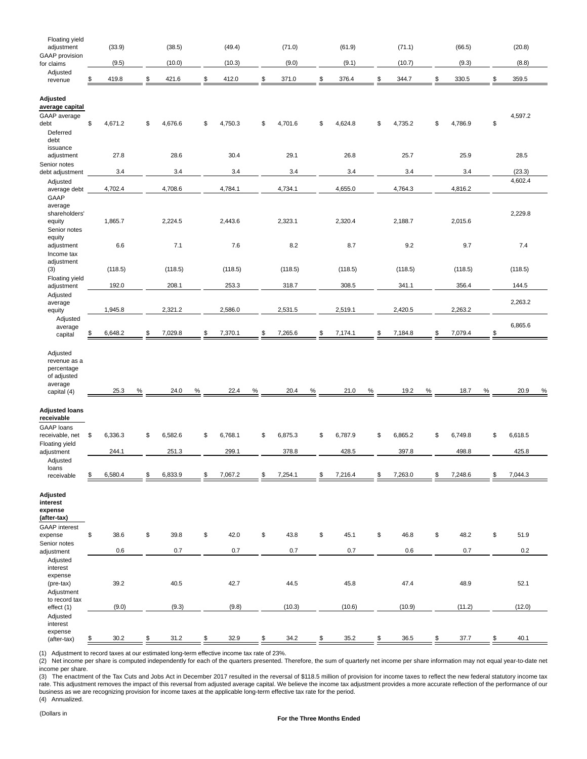| Floating yield<br>adjustment<br><b>GAAP</b> provision                          | (33.9)        | (38.5)        |      | (49.4)        |      | (71.0)        |      | (61.9)  |      | (71.1)        |      | (66.5)        |      | (20.8)            |
|--------------------------------------------------------------------------------|---------------|---------------|------|---------------|------|---------------|------|---------|------|---------------|------|---------------|------|-------------------|
| for claims                                                                     | (9.5)         | (10.0)        |      | (10.3)        |      | (9.0)         |      | (9.1)   |      | (10.7)        |      | (9.3)         |      | (8.8)             |
| Adjusted<br>revenue                                                            | \$<br>419.8   | \$<br>421.6   |      | \$<br>412.0   |      | \$<br>371.0   | \$   | 376.4   |      | \$<br>344.7   |      | \$<br>330.5   | \$   | 359.5             |
| <b>Adjusted</b><br>average capital<br>GAAP average<br>debt<br>Deferred<br>debt | \$<br>4,671.2 | \$<br>4,676.6 |      | \$<br>4,750.3 |      | \$<br>4,701.6 | \$   | 4,624.8 |      | \$<br>4,735.2 |      | \$<br>4,786.9 | \$   | 4,597.2           |
| issuance<br>adjustment<br>Senior notes                                         | 27.8          | 28.6          |      | 30.4          |      | 29.1          |      | 26.8    |      | 25.7          |      | 25.9          |      | 28.5              |
| debt adjustment                                                                | 3.4           | 3.4           |      | 3.4           |      | 3.4           |      | 3.4     |      | 3.4           |      | 3.4           |      | (23.3)<br>4,602.4 |
| Adjusted<br>average debt                                                       | 4,702.4       | 4,708.6       |      | 4,784.1       |      | 4,734.1       |      | 4,655.0 |      | 4,764.3       |      | 4,816.2       |      |                   |
| GAAP<br>average<br>shareholders'<br>equity<br>Senior notes                     | 1,865.7       | 2,224.5       |      | 2,443.6       |      | 2,323.1       |      | 2,320.4 |      | 2,188.7       |      | 2,015.6       |      | 2,229.8           |
| equity<br>adjustment<br>Income tax                                             | 6.6           | 7.1           |      | 7.6           |      | 8.2           |      | 8.7     |      | 9.2           |      | 9.7           |      | 7.4               |
| adjustment<br>(3)                                                              | (118.5)       | (118.5)       |      | (118.5)       |      | (118.5)       |      | (118.5) |      | (118.5)       |      | (118.5)       |      | (118.5)           |
| Floating yield<br>adjustment                                                   | 192.0         | 208.1         |      | 253.3         |      | 318.7         |      | 308.5   |      | 341.1         |      | 356.4         |      | 144.5             |
| Adjusted<br>average<br>equity                                                  | 1,945.8       | 2,321.2       |      | 2,586.0       |      | 2,531.5       |      | 2,519.1 |      | 2,420.5       |      | 2,263.2       |      | 2,263.2           |
| Adjusted<br>average<br>capital                                                 | \$<br>6,648.2 | \$<br>7,029.8 |      | \$<br>7,370.1 |      | \$<br>7,265.6 | \$   | 7,174.1 |      | \$<br>7,184.8 |      | \$<br>7,079.4 | \$   | 6,865.6           |
| Adjusted<br>revenue as a<br>percentage                                         |               |               |      |               |      |               |      |         |      |               |      |               |      |                   |
| of adjusted<br>average<br>capital (4)                                          | 25.3<br>$\%$  | 24.0          | $\%$ | 22.4          | $\%$ | 20.4          | $\%$ | 21.0    | $\%$ | 19.2          | $\%$ | 18.7          | $\%$ | 20.9<br>%         |
| <b>Adjusted loans</b><br>receivable                                            |               |               |      |               |      |               |      |         |      |               |      |               |      |                   |
| <b>GAAP</b> loans<br>receivable, net                                           | \$<br>6,336.3 | \$<br>6,582.6 |      | \$<br>6,768.1 |      | \$<br>6,875.3 | \$   | 6,787.9 |      | \$<br>6,865.2 |      | \$<br>6,749.8 | \$   | 6,618.5           |
| Floating yield<br>adjustment<br>Adjusted                                       | 244.1         | 251.3         |      | 299.1         |      | 378.8         |      | 428.5   |      | 397.8         |      | 498.8         |      | 425.8             |
| loans<br>receivable                                                            | \$<br>6,580.4 | \$<br>6,833.9 |      | \$<br>7,067.2 |      | \$<br>7,254.1 | \$   | 7,216.4 |      | \$<br>7,263.0 |      | \$<br>7,248.6 | \$   | 7,044.3           |
| Adjusted<br>interest<br>expense<br>(after-tax)<br><b>GAAP</b> interest         |               |               |      |               |      |               |      |         |      |               |      |               |      |                   |
| expense                                                                        | \$<br>38.6    | \$<br>39.8    |      | \$<br>42.0    |      | \$<br>43.8    | \$   | 45.1    |      | \$<br>46.8    |      | \$<br>48.2    | \$   | 51.9              |
| Senior notes<br>adjustment                                                     | 0.6           | 0.7           |      | 0.7           |      | 0.7           |      | 0.7     |      | 0.6           |      | 0.7           |      | 0.2               |
| Adjusted<br>interest<br>expense<br>(pre-tax)<br>Adjustment                     | 39.2          | 40.5          |      | 42.7          |      | 44.5          |      | 45.8    |      | 47.4          |      | 48.9          |      | 52.1              |
| to record tax<br>effect (1)                                                    | (9.0)         | (9.3)         |      | (9.8)         |      | (10.3)        |      | (10.6)  |      | (10.9)        |      | (11.2)        |      | (12.0)            |
| Adjusted<br>interest<br>expense<br>(after-tax)                                 | \$<br>30.2    | \$<br>31.2    |      | \$<br>32.9    |      | \$<br>34.2    | \$   | 35.2    |      | \$<br>36.5    |      | \$<br>37.7    | \$   | 40.1              |

(1) Adjustment to record taxes at our estimated long-term effective income tax rate of 23%.

(2) Net income per share is computed independently for each of the quarters presented. Therefore, the sum of quarterly net income per share information may not equal year-to-date net income per share.

(3) The enactment of the Tax Cuts and Jobs Act in December 2017 resulted in the reversal of \$118.5 million of provision for income taxes to reflect the new federal statutory income tax rate. This adjustment removes the impact of this reversal from adjusted average capital. We believe the income tax adjustment provides a more accurate reflection of the performance of our business as we are recognizing provision for income taxes at the applicable long-term effective tax rate for the period. (4) Annualized.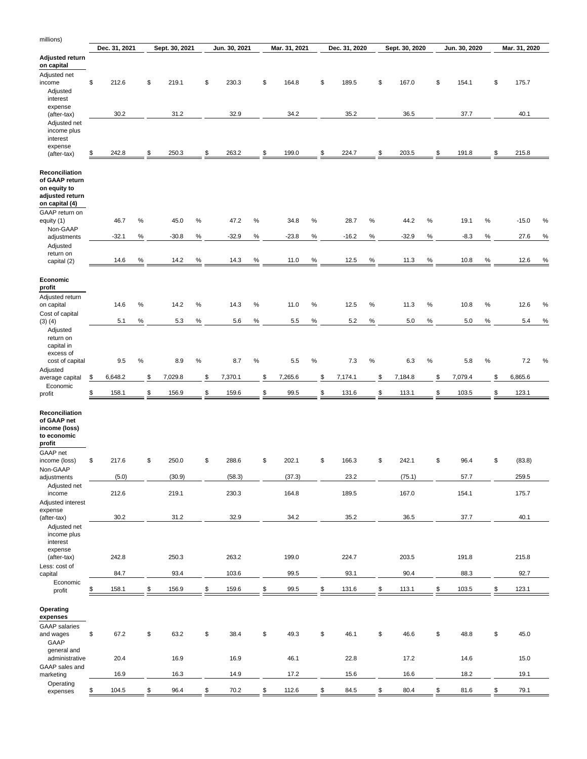| millions)                                                                                               |               |      | Sept. 30, 2021 |      |               |      | Mar. 31, 2021 |      |               |      |                |      |               |      |               |   |
|---------------------------------------------------------------------------------------------------------|---------------|------|----------------|------|---------------|------|---------------|------|---------------|------|----------------|------|---------------|------|---------------|---|
| <b>Adjusted return</b>                                                                                  | Dec. 31, 2021 |      |                |      | Jun. 30, 2021 |      |               |      | Dec. 31, 2020 |      | Sept. 30, 2020 |      | Jun. 30, 2020 |      | Mar. 31, 2020 |   |
| on capital<br>Adjusted net<br>income<br>Adjusted<br>interest                                            | \$<br>212.6   |      | \$<br>219.1    |      | \$<br>230.3   |      | \$<br>164.8   |      | \$<br>189.5   |      | \$<br>167.0    |      | \$<br>154.1   |      | \$<br>175.7   |   |
| expense<br>(after-tax)                                                                                  | 30.2          |      | 31.2           |      | 32.9          |      | 34.2          |      | 35.2          |      | 36.5           |      | 37.7          |      | 40.1          |   |
| Adjusted net<br>income plus<br>interest<br>expense                                                      |               |      |                |      |               |      |               |      |               |      |                |      |               |      |               |   |
| (after-tax)                                                                                             | \$<br>242.8   |      | \$<br>250.3    |      | \$<br>263.2   |      | \$<br>199.0   |      | \$<br>224.7   |      | \$<br>203.5    |      | \$<br>191.8   |      | \$<br>215.8   |   |
| Reconciliation<br>of GAAP return<br>on equity to<br>adjusted return<br>on capital (4)<br>GAAP return on |               |      |                |      |               |      |               |      |               |      |                |      |               |      |               |   |
| equity (1)<br>Non-GAAP                                                                                  | 46.7          | $\%$ | 45.0           | $\%$ | 47.2          | $\%$ | 34.8          | $\%$ | 28.7          | $\%$ | 44.2           | $\%$ | 19.1          | $\%$ | $-15.0$       | % |
| adjustments<br>Adjusted                                                                                 | $-32.1$       | %    | $-30.8$        | $\%$ | $-32.9$       | $\%$ | $-23.8$       | $\%$ | $-16.2$       | $\%$ | $-32.9$        | $\%$ | $-8.3$        | $\%$ | 27.6          | % |
| return on<br>capital (2)                                                                                | 14.6          | %    | 14.2           | ℅    | 14.3          | ℅    | 11.0          | $\%$ | 12.5          | %    | 11.3           | %    | 10.8          | %    | 12.6          | % |
| Economic                                                                                                |               |      |                |      |               |      |               |      |               |      |                |      |               |      |               |   |
| profit                                                                                                  |               |      |                |      |               |      |               |      |               |      |                |      |               |      |               |   |
| Adjusted return<br>on capital                                                                           | 14.6          | $\%$ | 14.2           | $\%$ | 14.3          | $\%$ | 11.0          | %    | 12.5          | $\%$ | 11.3           | $\%$ | 10.8          | $\%$ | 12.6          | % |
| Cost of capital<br>$(3)$ $(4)$                                                                          | 5.1           | $\%$ | 5.3            | $\%$ | 5.6           | ℅    | 5.5           | $\%$ | 5.2           | %    | 5.0            | $\%$ | 5.0           | $\%$ | 5.4           | % |
| Adjusted<br>return on<br>capital in<br>excess of                                                        |               |      |                |      |               |      |               |      |               |      |                |      |               |      |               |   |
| cost of capital<br>Adjusted                                                                             | 9.5           | $\%$ | 8.9            | $\%$ | 8.7           | $\%$ | 5.5           | $\%$ | 7.3           | $\%$ | 6.3            | $\%$ | 5.8           | $\%$ | 7.2           | % |
| average capital<br>Economic                                                                             | \$<br>6,648.2 |      | \$<br>7,029.8  |      | \$<br>7,370.1 |      | \$<br>7,265.6 |      | \$<br>7,174.1 |      | \$<br>7,184.8  |      | \$<br>7,079.4 |      | \$<br>6,865.6 |   |
| profit                                                                                                  | \$<br>158.1   |      | \$<br>156.9    |      | \$<br>159.6   |      | \$<br>99.5    |      | \$<br>131.6   |      | \$<br>113.1    |      | \$<br>103.5   |      | \$<br>123.1   |   |
| Reconciliation<br>of GAAP net<br>income (loss)<br>to economic<br>profit                                 |               |      |                |      |               |      |               |      |               |      |                |      |               |      |               |   |
| GAAP net<br>income (loss)                                                                               | \$<br>217.6   |      | \$<br>250.0    |      | \$<br>288.6   |      | \$<br>202.1   |      | \$<br>166.3   |      | \$<br>242.1    |      | \$<br>96.4    |      | \$<br>(83.8)  |   |
| Non-GAAP<br>adjustments                                                                                 | (5.0)         |      | (30.9)         |      | (58.3)        |      | (37.3)        |      | 23.2          |      | (75.1)         |      | 57.7          |      | 259.5         |   |
| Adjusted net<br>income<br>Adjusted interest                                                             | 212.6         |      | 219.1          |      | 230.3         |      | 164.8         |      | 189.5         |      | 167.0          |      | 154.1         |      | 175.7         |   |
| expense<br>(after-tax)                                                                                  | 30.2          |      | 31.2           |      | 32.9          |      | 34.2          |      | 35.2          |      | 36.5           |      | 37.7          |      | 40.1          |   |
| Adjusted net<br>income plus<br>interest<br>expense                                                      |               |      |                |      |               |      |               |      |               |      |                |      |               |      |               |   |
| (after-tax)<br>Less: cost of                                                                            | 242.8         |      | 250.3          |      | 263.2         |      | 199.0         |      | 224.7         |      | 203.5          |      | 191.8         |      | 215.8         |   |
| capital<br>Economic                                                                                     | 84.7          |      | 93.4           |      | 103.6         |      | 99.5          |      | 93.1          |      | 90.4           |      | 88.3          |      | 92.7          |   |
| profit                                                                                                  | \$<br>158.1   |      | \$<br>156.9    |      | \$<br>159.6   |      | \$<br>99.5    |      | \$<br>131.6   |      | \$<br>113.1    |      | \$<br>103.5   |      | \$<br>123.1   |   |
| Operating<br>expenses<br><b>GAAP</b> salaries                                                           |               |      |                |      |               |      |               |      |               |      |                |      |               |      |               |   |
| and wages<br>GAAP<br>general and                                                                        | \$<br>67.2    |      | \$<br>63.2     |      | \$<br>38.4    |      | \$<br>49.3    |      | \$<br>46.1    |      | \$<br>46.6     |      | \$<br>48.8    |      | \$<br>45.0    |   |
| administrative<br>GAAP sales and                                                                        | 20.4          |      | 16.9           |      | 16.9          |      | 46.1          |      | 22.8          |      | 17.2           |      | 14.6          |      | 15.0          |   |
| marketing<br>Operating                                                                                  | 16.9          |      | 16.3           |      | 14.9          |      | 17.2          |      | 15.6          |      | 16.6           |      | 18.2          |      | 19.1          |   |
| expenses                                                                                                | \$<br>104.5   |      | \$<br>96.4     |      | \$<br>70.2    |      | \$<br>112.6   |      | \$<br>84.5    |      | \$<br>80.4     |      | \$<br>81.6    |      | 79.1          |   |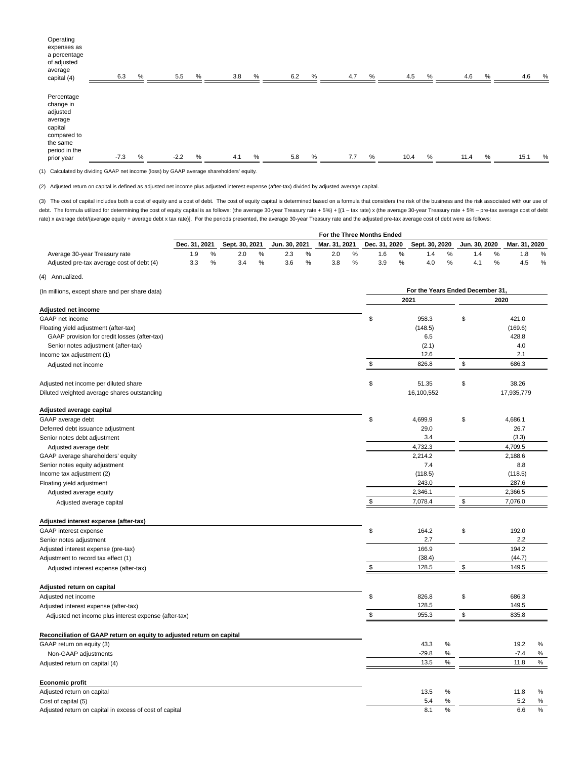| Operating<br>expenses as<br>a percentage<br>of adjusted<br>average<br>capital (4)                                   | 6.3    | % | 5.5    | % | 3.8<br>$\%$ | 6.2 | $\%$ | 4.7 | % | 4.5<br>$\%$  | 4.6  | $\%$ | 4.6  | % |
|---------------------------------------------------------------------------------------------------------------------|--------|---|--------|---|-------------|-----|------|-----|---|--------------|------|------|------|---|
| Percentage<br>change in<br>adjusted<br>average<br>capital<br>compared to<br>the same<br>period in the<br>prior year | $-7.3$ | % | $-2.2$ | % | %<br>4.1    | 5.8 | %    | 7.7 | % | $\%$<br>10.4 | 11.4 | %    | 15.1 | % |

(1) Calculated by dividing GAAP net income (loss) by GAAP average shareholders' equity.

(2) Adjusted return on capital is defined as adjusted net income plus adjusted interest expense (after-tax) divided by adjusted average capital.

(3) The cost of capital includes both a cost of equity and a cost of debt. The cost of equity capital is determined based on a formula that considers the risk of the business and the risk associated with our use of debt. The formula utilized for determining the cost of equity capital is as follows: (the average 30-year Treasury rate + 5%) + [(1 - tax rate) x (the average 30-year Treasury rate + 5% - pre-tax average cost of debt rate) x average debt/(average equity + average debt x tax rate)]. For the periods presented, the average 30-year Treasury rate and the adjusted pre-tax average cost of debt were as follows:

|                                                                       |               |      |                |      |               |   |               |   | For the Three Months Ended |      |                                  |      |               |      |               |      |
|-----------------------------------------------------------------------|---------------|------|----------------|------|---------------|---|---------------|---|----------------------------|------|----------------------------------|------|---------------|------|---------------|------|
|                                                                       | Dec. 31, 2021 |      | Sept. 30, 2021 |      | Jun. 30, 2021 |   | Mar. 31. 2021 |   | Dec. 31, 2020              |      | Sept. 30, 2020                   |      | Jun. 30, 2020 |      | Mar. 31, 2020 |      |
| Average 30-year Treasury rate                                         | 1.9           | $\%$ | 2.0            | %    | 2.3           | % | 2.0           | % | 1.6                        | %    | 1.4                              | %    | 1.4           | %    | 1.8           | %    |
| Adjusted pre-tax average cost of debt (4)                             | 3.3           | $\%$ | 3.4            | $\%$ | 3.6           | % | 3.8           | % | 3.9                        | $\%$ | 4.0                              | %    | 4.1           | %    | 4.5           | $\%$ |
| (4) Annualized.                                                       |               |      |                |      |               |   |               |   |                            |      |                                  |      |               |      |               |      |
| (In millions, except share and per share data)                        |               |      |                |      |               |   |               |   |                            |      | For the Years Ended December 31, |      |               |      |               |      |
| Adjusted net income                                                   |               |      |                |      |               |   |               |   |                            |      | 2021                             |      |               | 2020 |               |      |
| GAAP net income                                                       |               |      |                |      |               |   |               |   | \$                         |      | 958.3                            |      | \$            |      | 421.0         |      |
| Floating yield adjustment (after-tax)                                 |               |      |                |      |               |   |               |   |                            |      | (148.5)                          |      |               |      | (169.6)       |      |
| GAAP provision for credit losses (after-tax)                          |               |      |                |      |               |   |               |   |                            |      | 6.5                              |      |               |      | 428.8         |      |
| Senior notes adjustment (after-tax)                                   |               |      |                |      |               |   |               |   |                            |      | (2.1)                            |      |               |      | 4.0           |      |
| Income tax adjustment (1)                                             |               |      |                |      |               |   |               |   |                            |      | 12.6                             |      |               |      | 2.1           |      |
| Adjusted net income                                                   |               |      |                |      |               |   |               |   | \$                         |      | 826.8                            |      | \$            |      | 686.3         |      |
|                                                                       |               |      |                |      |               |   |               |   |                            |      |                                  |      |               |      |               |      |
| Adjusted net income per diluted share                                 |               |      |                |      |               |   |               |   | \$                         |      | 51.35                            |      | \$            |      | 38.26         |      |
| Diluted weighted average shares outstanding                           |               |      |                |      |               |   |               |   |                            |      | 16,100,552                       |      |               |      | 17,935,779    |      |
| Adjusted average capital                                              |               |      |                |      |               |   |               |   |                            |      |                                  |      |               |      |               |      |
| GAAP average debt                                                     |               |      |                |      |               |   |               |   | \$                         |      | 4,699.9                          |      | \$            |      | 4,686.1       |      |
| Deferred debt issuance adjustment                                     |               |      |                |      |               |   |               |   |                            |      | 29.0                             |      |               |      | 26.7          |      |
| Senior notes debt adjustment                                          |               |      |                |      |               |   |               |   |                            |      | 3.4                              |      |               |      | (3.3)         |      |
| Adjusted average debt                                                 |               |      |                |      |               |   |               |   |                            |      | 4,732.3                          |      |               |      | 4,709.5       |      |
| GAAP average shareholders' equity                                     |               |      |                |      |               |   |               |   |                            |      | 2,214.2                          |      |               |      | 2,188.6       |      |
| Senior notes equity adjustment                                        |               |      |                |      |               |   |               |   |                            |      | 7.4                              |      |               |      | 8.8           |      |
| Income tax adjustment (2)                                             |               |      |                |      |               |   |               |   |                            |      | (118.5)                          |      |               |      | (118.5)       |      |
| Floating yield adjustment                                             |               |      |                |      |               |   |               |   |                            |      | 243.0                            |      |               |      | 287.6         |      |
| Adjusted average equity                                               |               |      |                |      |               |   |               |   |                            |      | 2,346.1                          |      |               |      | 2,366.5       |      |
| Adjusted average capital                                              |               |      |                |      |               |   |               |   | \$                         |      | 7,078.4                          |      | \$            |      | 7,076.0       |      |
| Adjusted interest expense (after-tax)                                 |               |      |                |      |               |   |               |   |                            |      |                                  |      |               |      |               |      |
| GAAP interest expense                                                 |               |      |                |      |               |   |               |   | \$                         |      | 164.2                            |      | \$            |      | 192.0         |      |
| Senior notes adjustment                                               |               |      |                |      |               |   |               |   |                            |      | 2.7                              |      |               |      | 2.2           |      |
| Adjusted interest expense (pre-tax)                                   |               |      |                |      |               |   |               |   |                            |      | 166.9                            |      |               |      | 194.2         |      |
| Adjustment to record tax effect (1)                                   |               |      |                |      |               |   |               |   |                            |      | (38.4)                           |      |               |      | (44.7)        |      |
| Adjusted interest expense (after-tax)                                 |               |      |                |      |               |   |               |   | \$                         |      | 128.5                            |      | \$            |      | 149.5         |      |
| Adjusted return on capital                                            |               |      |                |      |               |   |               |   |                            |      |                                  |      |               |      |               |      |
| Adjusted net income                                                   |               |      |                |      |               |   |               |   | \$                         |      | 826.8                            |      | \$            |      | 686.3         |      |
| Adjusted interest expense (after-tax)                                 |               |      |                |      |               |   |               |   |                            |      | 128.5                            |      |               |      | 149.5         |      |
| Adjusted net income plus interest expense (after-tax)                 |               |      |                |      |               |   |               |   | \$                         |      | 955.3                            |      | \$            |      | 835.8         |      |
| Reconciliation of GAAP return on equity to adjusted return on capital |               |      |                |      |               |   |               |   |                            |      |                                  |      |               |      |               |      |
| GAAP return on equity (3)                                             |               |      |                |      |               |   |               |   |                            |      | 43.3                             | $\%$ |               |      | 19.2          | $\%$ |
| Non-GAAP adjustments                                                  |               |      |                |      |               |   |               |   |                            |      | $-29.8$                          | $\%$ |               |      | $-7.4$        | $\%$ |
| Adjusted return on capital (4)                                        |               |      |                |      |               |   |               |   |                            |      | 13.5                             | $\%$ |               |      | 11.8          | ℅    |
|                                                                       |               |      |                |      |               |   |               |   |                            |      |                                  |      |               |      |               |      |
| <b>Economic profit</b><br>Adjusted return on capital                  |               |      |                |      |               |   |               |   |                            |      | 13.5                             | $\%$ |               |      | 11.8          | $\%$ |
| Cost of capital (5)                                                   |               |      |                |      |               |   |               |   |                            |      | 5.4                              | $\%$ |               |      | 5.2           | $\%$ |
| Adjusted return on capital in excess of cost of capital               |               |      |                |      |               |   |               |   |                            |      | 8.1                              | $\%$ |               |      | 6.6           | $\%$ |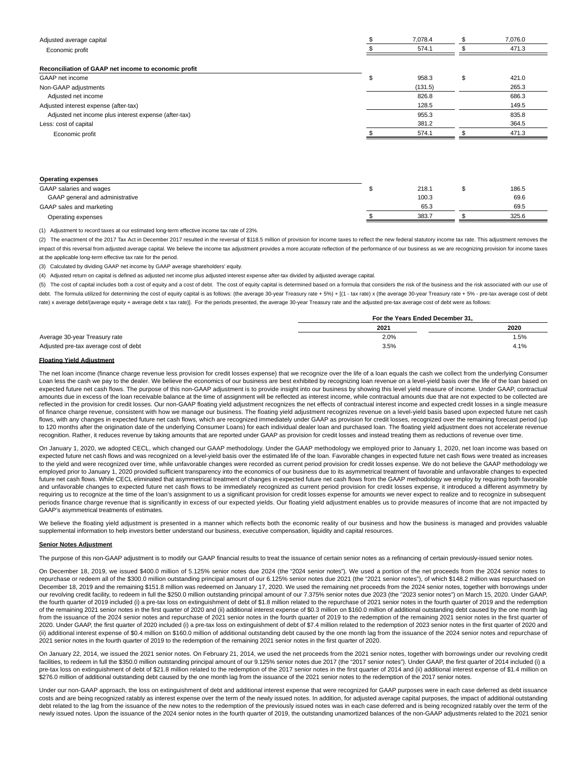| Adjusted average capital                              | \$. | 7,078.4 | \$<br>7,076.0 |
|-------------------------------------------------------|-----|---------|---------------|
| Economic profit                                       |     | 574.1   | 471.3         |
|                                                       |     |         |               |
| Reconciliation of GAAP net income to economic profit  |     |         |               |
| GAAP net income                                       | \$  | 958.3   | \$<br>421.0   |
| Non-GAAP adjustments                                  |     | (131.5) | 265.3         |
| Adjusted net income                                   |     | 826.8   | 686.3         |
| Adjusted interest expense (after-tax)                 |     | 128.5   | 149.5         |
| Adjusted net income plus interest expense (after-tax) |     | 955.3   | 835.8         |
| Less: cost of capital                                 |     | 381.2   | 364.5         |
| Economic profit                                       |     | 574.1   | 471.3         |
|                                                       |     |         |               |
|                                                       |     |         |               |
|                                                       |     |         |               |
|                                                       |     |         |               |
| <b>Operating expenses</b>                             |     |         |               |
| GAAP salaries and wages                               | \$  | 218.1   | \$<br>186.5   |
| GAAP general and administrative                       |     | 100.3   | 69.6          |
| GAAP sales and marketing                              |     | 65.3    | 69.5          |
| Operating expenses                                    | \$  | 383.7   | \$<br>325.6   |

(1) Adjustment to record taxes at our estimated long-term effective income tax rate of 23%.

(2) The enactment of the 2017 Tax Act in December 2017 resulted in the reversal of \$118.5 million of provision for income taxes to reflect the new federal statutory income tax rate. This adjustment removes the impact of this reversal from adjusted average capital. We believe the income tax adjustment provides a more accurate reflection of the performance of our business as we are recognizing provision for income taxes at the applicable long-term effective tax rate for the period.

(3) Calculated by dividing GAAP net income by GAAP average shareholders' equity.

(4) Adjusted return on capital is defined as adjusted net income plus adjusted interest expense after-tax divided by adjusted average capital.

(5) The cost of capital includes both a cost of equity and a cost of debt. The cost of equity capital is determined based on a formula that considers the risk of the business and the risk associated with our use of debt. The formula utilized for determining the cost of equity capital is as follows: (the average 30-year Treasury rate + 5%) + [(1 - tax rate) x (the average 30-year Treasury rate + 5% - pre-tax average cost of debt rate) x average debt/(average equity + average debt x tax rate)]. For the periods presented, the average 30-year Treasury rate and the adjusted pre-tax average cost of debt were as follows:

|                                       | For the Years Ended December 31. |      |  |
|---------------------------------------|----------------------------------|------|--|
|                                       | 2021                             | 2020 |  |
| Average 30-year Treasury rate         | 2.0%                             | 1.5% |  |
| Adjusted pre-tax average cost of debt | 3.5%                             | 4.1% |  |

### **Floating Yield Adjustment**

The net loan income (finance charge revenue less provision for credit losses expense) that we recognize over the life of a loan equals the cash we collect from the underlying Consumer Loan less the cash we pay to the dealer. We believe the economics of our business are best exhibited by recognizing loan revenue on a level-yield basis over the life of the loan based on expected future net cash flows. The purpose of this non-GAAP adjustment is to provide insight into our business by showing this level yield measure of income. Under GAAP, contractual amounts due in excess of the loan receivable balance at the time of assignment will be reflected as interest income, while contractual amounts due that are not expected to be collected are reflected in the provision for credit losses. Our non-GAAP floating yield adjustment recognizes the net effects of contractual interest income and expected credit losses in a single measure of finance charge revenue, consistent with how we manage our business. The floating yield adjustment recognizes revenue on a level-yield basis based upon expected future net cash flows, with any changes in expected future net cash flows, which are recognized immediately under GAAP as provision for credit losses, recognized over the remaining forecast period (up to 120 months after the origination date of the underlying Consumer Loans) for each individual dealer loan and purchased loan. The floating yield adjustment does not accelerate revenue recognition. Rather, it reduces revenue by taking amounts that are reported under GAAP as provision for credit losses and instead treating them as reductions of revenue over time.

On January 1, 2020, we adopted CECL, which changed our GAAP methodology. Under the GAAP methodology we employed prior to January 1, 2020, net loan income was based on expected future net cash flows and was recognized on a level-yield basis over the estimated life of the loan. Favorable changes in expected future net cash flows were treated as increases to the yield and were recognized over time, while unfavorable changes were recorded as current period provision for credit losses expense. We do not believe the GAAP methodology we employed prior to January 1, 2020 provided sufficient transparency into the economics of our business due to its asymmetrical treatment of favorable and unfavorable changes to expected future net cash flows. While CECL eliminated that asymmetrical treatment of changes in expected future net cash flows from the GAAP methodology we employ by requiring both favorable and unfavorable changes to expected future net cash flows to be immediately recognized as current period provision for credit losses expense, it introduced a different asymmetry by requiring us to recognize at the time of the loan's assignment to us a significant provision for credit losses expense for amounts we never expect to realize and to recognize in subsequent periods finance charge revenue that is significantly in excess of our expected yields. Our floating yield adjustment enables us to provide measures of income that are not impacted by GAAP's asymmetrical treatments of estimates.

We believe the floating yield adjustment is presented in a manner which reflects both the economic reality of our business and how the business is managed and provides valuable supplemental information to help investors better understand our business, executive compensation, liquidity and capital resources.

## **Senior Notes Adjustment**

The purpose of this non-GAAP adjustment is to modify our GAAP financial results to treat the issuance of certain senior notes as a refinancing of certain previously-issued senior notes.

On December 18, 2019, we issued \$400.0 million of 5.125% senior notes due 2024 (the "2024 senior notes"). We used a portion of the net proceeds from the 2024 senior notes to repurchase or redeem all of the \$300.0 million outstanding principal amount of our 6.125% senior notes due 2021 (the "2021 senior notes"), of which \$148.2 million was repurchased on December 18, 2019 and the remaining \$151.8 million was redeemed on January 17, 2020. We used the remaining net proceeds from the 2024 senior notes, together with borrowings under our revolving credit facility, to redeem in full the \$250.0 million outstanding principal amount of our 7.375% senior notes due 2023 (the "2023 senior notes") on March 15, 2020. Under GAAP, the fourth quarter of 2019 included (i) a pre-tax loss on extinguishment of debt of \$1.8 million related to the repurchase of 2021 senior notes in the fourth quarter of 2019 and the redemption of the remaining 2021 senior notes in the first quarter of 2020 and (ii) additional interest expense of \$0.3 million on \$160.0 million of additional outstanding debt caused by the one month lag from the issuance of the 2024 senior notes and repurchase of 2021 senior notes in the fourth quarter of 2019 to the redemption of the remaining 2021 senior notes in the first quarter of 2020. Under GAAP, the first quarter of 2020 included (i) a pre-tax loss on extinguishment of debt of \$7.4 million related to the redemption of 2023 senior notes in the first quarter of 2020 and (ii) additional interest expense of \$0.4 million on \$160.0 million of additional outstanding debt caused by the one month lag from the issuance of the 2024 senior notes and repurchase of 2021 senior notes in the fourth quarter of 2019 to the redemption of the remaining 2021 senior notes in the first quarter of 2020.

On January 22, 2014, we issued the 2021 senior notes. On February 21, 2014, we used the net proceeds from the 2021 senior notes, together with borrowings under our revolving credit facilities, to redeem in full the \$350.0 million outstanding principal amount of our 9.125% senior notes due 2017 (the "2017 senior notes"). Under GAAP, the first quarter of 2014 included (i) a pre-tax loss on extinguishment of debt of \$21.8 million related to the redemption of the 2017 senior notes in the first quarter of 2014 and (ii) additional interest expense of \$1.4 million on \$276.0 million of additional outstanding debt caused by the one month lag from the issuance of the 2021 senior notes to the redemption of the 2017 senior notes.

Under our non-GAAP approach, the loss on extinguishment of debt and additional interest expense that were recognized for GAAP purposes were in each case deferred as debt issuance costs and are being recognized ratably as interest expense over the term of the newly issued notes. In addition, for adjusted average capital purposes, the impact of additional outstanding debt related to the lag from the issuance of the new notes to the redemption of the previously issued notes was in each case deferred and is being recognized ratably over the term of the newly issued notes. Upon the issuance of the 2024 senior notes in the fourth quarter of 2019, the outstanding unamortized balances of the non-GAAP adjustments related to the 2021 senior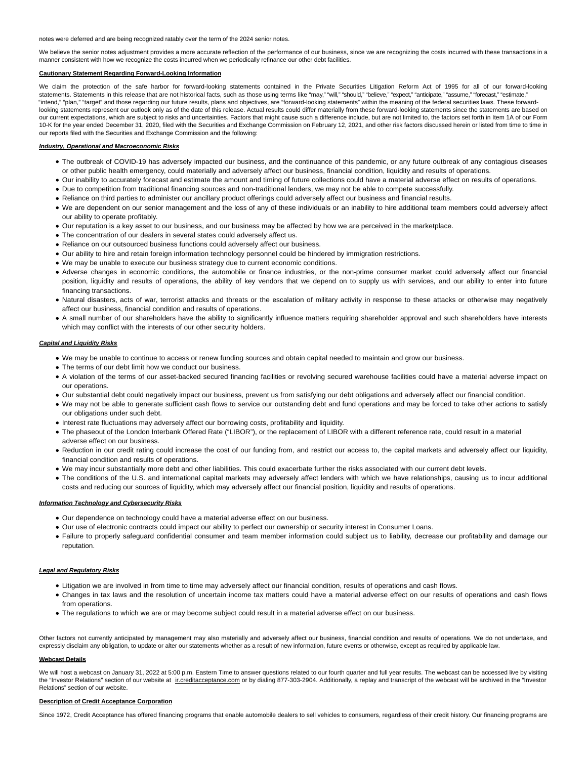notes were deferred and are being recognized ratably over the term of the 2024 senior notes.

We believe the senior notes adjustment provides a more accurate reflection of the performance of our business, since we are recognizing the costs incurred with these transactions in a manner consistent with how we recognize the costs incurred when we periodically refinance our other debt facilities.

# **Cautionary Statement Regarding Forward-Looking Information**

We claim the protection of the safe harbor for forward-looking statements contained in the Private Securities Litigation Reform Act of 1995 for all of our forward-looking statements. Statements in this release that are not historical facts, such as those using terms like "may," "will," "should," "believe," "expect," "anticipate," "assume," "forecast," "estimate," "intend," "plan," "target" and those regarding our future results, plans and objectives, are "forward-looking statements" within the meaning of the federal securities laws. These forwardlooking statements represent our outlook only as of the date of this release. Actual results could differ materially from these forward-looking statements since the statements are based on our current expectations, which are subject to risks and uncertainties. Factors that might cause such a difference include, but are not limited to, the factors set forth in Item 1A of our Form 10-K for the year ended December 31, 2020, filed with the Securities and Exchange Commission on February 12, 2021, and other risk factors discussed herein or listed from time to time in our reports filed with the Securities and Exchange Commission and the following:

# **Industry, Operational and Macroeconomic Risks**

- The outbreak of COVID-19 has adversely impacted our business, and the continuance of this pandemic, or any future outbreak of any contagious diseases or other public health emergency, could materially and adversely affect our business, financial condition, liquidity and results of operations.
- Our inability to accurately forecast and estimate the amount and timing of future collections could have a material adverse effect on results of operations.
- Due to competition from traditional financing sources and non-traditional lenders, we may not be able to compete successfully.
- Reliance on third parties to administer our ancillary product offerings could adversely affect our business and financial results.
- We are dependent on our senior management and the loss of any of these individuals or an inability to hire additional team members could adversely affect our ability to operate profitably.
- Our reputation is a key asset to our business, and our business may be affected by how we are perceived in the marketplace.
- The concentration of our dealers in several states could adversely affect us.
- Reliance on our outsourced business functions could adversely affect our business.
- Our ability to hire and retain foreign information technology personnel could be hindered by immigration restrictions.
- We may be unable to execute our business strategy due to current economic conditions.
- Adverse changes in economic conditions, the automobile or finance industries, or the non-prime consumer market could adversely affect our financial position, liquidity and results of operations, the ability of key vendors that we depend on to supply us with services, and our ability to enter into future financing transactions.
- Natural disasters, acts of war, terrorist attacks and threats or the escalation of military activity in response to these attacks or otherwise may negatively affect our business, financial condition and results of operations.
- A small number of our shareholders have the ability to significantly influence matters requiring shareholder approval and such shareholders have interests which may conflict with the interests of our other security holders.

### **Capital and Liquidity Risks**

- We may be unable to continue to access or renew funding sources and obtain capital needed to maintain and grow our business.
- The terms of our debt limit how we conduct our business.
- A violation of the terms of our asset-backed secured financing facilities or revolving secured warehouse facilities could have a material adverse impact on our operations.
- Our substantial debt could negatively impact our business, prevent us from satisfying our debt obligations and adversely affect our financial condition.
- We may not be able to generate sufficient cash flows to service our outstanding debt and fund operations and may be forced to take other actions to satisfy our obligations under such debt.
- Interest rate fluctuations may adversely affect our borrowing costs, profitability and liquidity.
- The phaseout of the London Interbank Offered Rate ("LIBOR"), or the replacement of LIBOR with a different reference rate, could result in a material adverse effect on our business.
- Reduction in our credit rating could increase the cost of our funding from, and restrict our access to, the capital markets and adversely affect our liquidity, financial condition and results of operations.
- We may incur substantially more debt and other liabilities. This could exacerbate further the risks associated with our current debt levels.
- The conditions of the U.S. and international capital markets may adversely affect lenders with which we have relationships, causing us to incur additional costs and reducing our sources of liquidity, which may adversely affect our financial position, liquidity and results of operations.

## **Information Technology and Cybersecurity Risks**

- Our dependence on technology could have a material adverse effect on our business.
- Our use of electronic contracts could impact our ability to perfect our ownership or security interest in Consumer Loans.
- Failure to properly safeguard confidential consumer and team member information could subject us to liability, decrease our profitability and damage our reputation.

### **Legal and Regulatory Risks**

- Litigation we are involved in from time to time may adversely affect our financial condition, results of operations and cash flows.
- Changes in tax laws and the resolution of uncertain income tax matters could have a material adverse effect on our results of operations and cash flows from operations.
- The regulations to which we are or may become subject could result in a material adverse effect on our business.

Other factors not currently anticipated by management may also materially and adversely affect our business, financial condition and results of operations. We do not undertake, and expressly disclaim any obligation, to update or alter our statements whether as a result of new information, future events or otherwise, except as required by applicable law.

### **Webcast Details**

We will host a webcast on January 31, 2022 at 5:00 p.m. Eastern Time to answer questions related to our fourth quarter and full year results. The webcast can be accessed live by visiting the "Investor Relations" section of our website at increditacceptance.com or by dialing 877-303-2904. Additionally, a replay and transcript of the webcast will be archived in the "Investor Relations" section of our website.

#### **Description of Credit Acceptance Corporation**

Since 1972, Credit Acceptance has offered financing programs that enable automobile dealers to sell vehicles to consumers, regardless of their credit history. Our financing programs are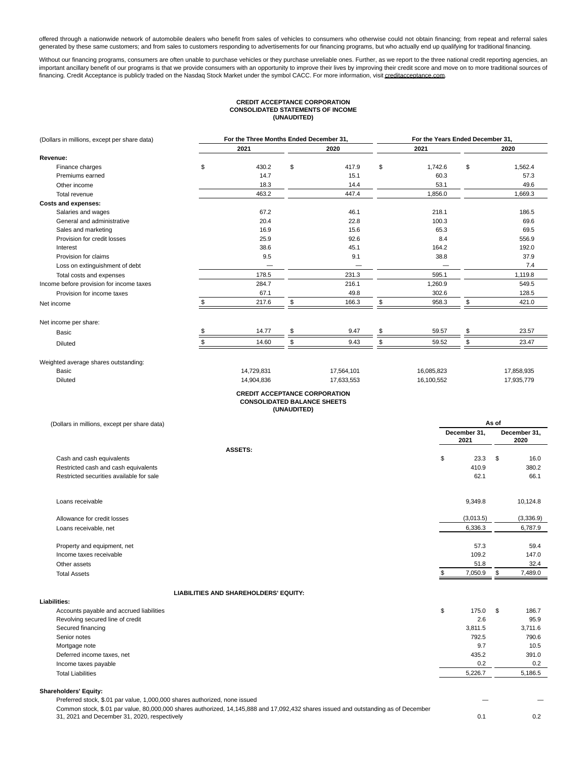offered through a nationwide network of automobile dealers who benefit from sales of vehicles to consumers who otherwise could not obtain financing; from repeat and referral sales generated by these same customers; and from sales to customers responding to advertisements for our financing programs, but who actually end up qualifying for traditional financing.

Without our financing programs, consumers are often unable to purchase vehicles or they purchase unreliable ones. Further, as we report to the three national credit reporting agencies, an important ancillary benefit of our programs is that we provide consumers with an opportunity to improve their lives by improving their credit score and move on to more traditional sources of financing. Credit Acceptance is publicly traded on the Nasdaq Stock Market under the symbol CACC. For more information, visit creditacceptance.com.

## **CREDIT ACCEPTANCE CORPORATION CONSOLIDATED STATEMENTS OF INCOME (UNAUDITED)**

| (Dollars in millions, except per share data) | For the Three Months Ended December 31, |             |            |    |            |              | For the Years Ended December 31, |  |
|----------------------------------------------|-----------------------------------------|-------------|------------|----|------------|--------------|----------------------------------|--|
|                                              | 2021                                    |             | 2020       |    | 2021       |              | 2020                             |  |
| Revenue:                                     |                                         |             |            |    |            |              |                                  |  |
| Finance charges                              | \$<br>430.2                             | \$          | 417.9      | \$ | 1,742.6    | \$           | 1,562.4                          |  |
| Premiums earned                              | 14.7                                    |             | 15.1       |    | 60.3       |              | 57.3                             |  |
| Other income                                 | 18.3                                    |             | 14.4       |    | 53.1       |              | 49.6                             |  |
| Total revenue                                | 463.2                                   |             | 447.4      |    | 1,856.0    |              | 1,669.3                          |  |
| <b>Costs and expenses:</b>                   |                                         |             |            |    |            |              |                                  |  |
| Salaries and wages                           | 67.2                                    |             | 46.1       |    | 218.1      |              | 186.5                            |  |
| General and administrative                   | 20.4                                    |             | 22.8       |    | 100.3      |              | 69.6                             |  |
| Sales and marketing                          | 16.9                                    |             | 15.6       |    | 65.3       |              | 69.5                             |  |
| Provision for credit losses                  | 25.9                                    |             | 92.6       |    | 8.4        |              | 556.9                            |  |
| Interest                                     | 38.6                                    |             | 45.1       |    | 164.2      |              | 192.0                            |  |
| Provision for claims                         | 9.5                                     |             | 9.1        |    | 38.8       |              | 37.9                             |  |
|                                              |                                         |             |            |    |            |              | 7.4                              |  |
| Loss on extinguishment of debt               | 178.5                                   |             | 231.3      |    | 595.1      |              | 1,119.8                          |  |
| Total costs and expenses                     |                                         |             |            |    |            |              |                                  |  |
| Income before provision for income taxes     | 284.7                                   |             | 216.1      |    | 1,260.9    |              | 549.5                            |  |
| Provision for income taxes                   | 67.1                                    |             | 49.8       |    | 302.6      |              | 128.5                            |  |
| Net income                                   | \$<br>217.6                             | \$          | 166.3      | \$ | 958.3      | \$           | 421.0                            |  |
|                                              |                                         |             |            |    |            |              |                                  |  |
| Net income per share:                        |                                         |             |            |    |            |              |                                  |  |
| Basic                                        | \$<br>14.77                             | \$          | 9.47       | \$ | 59.57      | \$           | 23.57                            |  |
|                                              | \$                                      | \$          |            | \$ |            | \$           |                                  |  |
| Diluted                                      | 14.60                                   |             | 9.43       |    | 59.52      |              | 23.47                            |  |
|                                              |                                         |             |            |    |            |              |                                  |  |
| Weighted average shares outstanding:         |                                         |             |            |    |            |              |                                  |  |
| Basic                                        | 14,729,831                              |             | 17,564,101 |    | 16,085,823 |              | 17,858,935                       |  |
| Diluted                                      | 14,904,836                              |             | 17,633,553 |    | 16,100,552 |              | 17,935,779                       |  |
|                                              | <b>CREDIT ACCEPTANCE CORPORATION</b>    |             |            |    |            |              |                                  |  |
|                                              | <b>CONSOLIDATED BALANCE SHEETS</b>      |             |            |    |            |              |                                  |  |
|                                              |                                         | (UNAUDITED) |            |    |            |              |                                  |  |
|                                              |                                         |             |            |    |            |              |                                  |  |
| (Dollars in millions, except per share data) |                                         |             |            |    |            |              | As of                            |  |
|                                              |                                         |             |            |    |            | December 31, | December 31,                     |  |
|                                              |                                         |             |            |    |            | 2021         | 2020                             |  |
|                                              | <b>ASSETS:</b>                          |             |            |    |            |              |                                  |  |
| Cash and cash equivalents                    |                                         |             |            |    | \$         | 23.3         | \$<br>16.0                       |  |
| Restricted cash and cash equivalents         |                                         |             |            |    |            | 410.9        | 380.2                            |  |
| Restricted securities available for sale     |                                         |             |            |    |            | 62.1         | 66.1                             |  |
|                                              |                                         |             |            |    |            |              |                                  |  |
|                                              |                                         |             |            |    |            |              |                                  |  |
| Loans receivable                             |                                         |             |            |    |            | 9,349.8      | 10,124.8                         |  |
|                                              |                                         |             |            |    |            |              |                                  |  |
| Allowance for credit losses                  |                                         |             |            |    |            | (3,013.5)    | (3,336.9)                        |  |
| Loans receivable, net                        |                                         |             |            |    |            | 6,336.3      | 6,787.9                          |  |
|                                              |                                         |             |            |    |            |              |                                  |  |
|                                              |                                         |             |            |    |            |              |                                  |  |
| Property and equipment, net                  |                                         |             |            |    |            | 57.3         | 59.4                             |  |
| Income taxes receivable                      |                                         |             |            |    |            | 109.2        | 147.0                            |  |
| Other assets                                 |                                         |             |            |    |            | 51.8         | 32.4                             |  |
| <b>Total Assets</b>                          |                                         |             |            |    | \$         | 7,050.9      | \$<br>7,489.0                    |  |
|                                              |                                         |             |            |    |            |              |                                  |  |
|                                              | LIABILITIES AND SHAREHOLDERS' EQUITY:   |             |            |    |            |              |                                  |  |
| Liabilities:                                 |                                         |             |            |    |            |              |                                  |  |
|                                              |                                         |             |            |    |            |              |                                  |  |
|                                              |                                         |             |            |    |            |              |                                  |  |
| Accounts payable and accrued liabilities     |                                         |             |            |    | \$         | 175.0        | \$<br>186.7                      |  |
| Revolving secured line of credit             |                                         |             |            |    |            | 2.6          | 95.9                             |  |
| Secured financing                            |                                         |             |            |    |            | 3,811.5      | 3,711.6                          |  |
| Senior notes                                 |                                         |             |            |    |            | 792.5        | 790.6                            |  |
| Mortgage note                                |                                         |             |            |    |            | 9.7          | 10.5                             |  |
| Deferred income taxes, net                   |                                         |             |            |    |            | 435.2        | 391.0                            |  |
| Income taxes payable                         |                                         |             |            |    |            | 0.2          | 0.2                              |  |
| <b>Total Liabilities</b>                     |                                         |             |            |    |            | 5,226.7      | 5,186.5                          |  |
|                                              |                                         |             |            |    |            |              |                                  |  |
| <b>Shareholders' Equity:</b>                 |                                         |             |            |    |            |              |                                  |  |

Common stock, \$.01 par value, 80,000,000 shares authorized, 14,145,888 and 17,092,432 shares issued and outstanding as of December 31, 2021 and December 31, 2020, respectively and analyzed and operation of the characteristic order of the characteristic order of the characteristic order of the characteristic order of the characteristic order of the cha